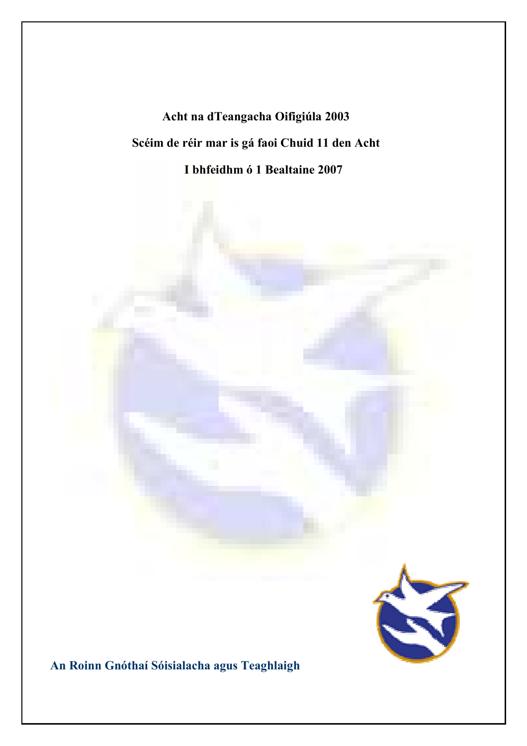# Acht na dTeangacha Oifigiúla 2003 Scéim de réir mar is gá faoi Chuid 11 den Acht I bhfeidhm ó 1 Bealtaine 2007



An Roinn Gnóthaí Sóisialacha agus Teaghlaigh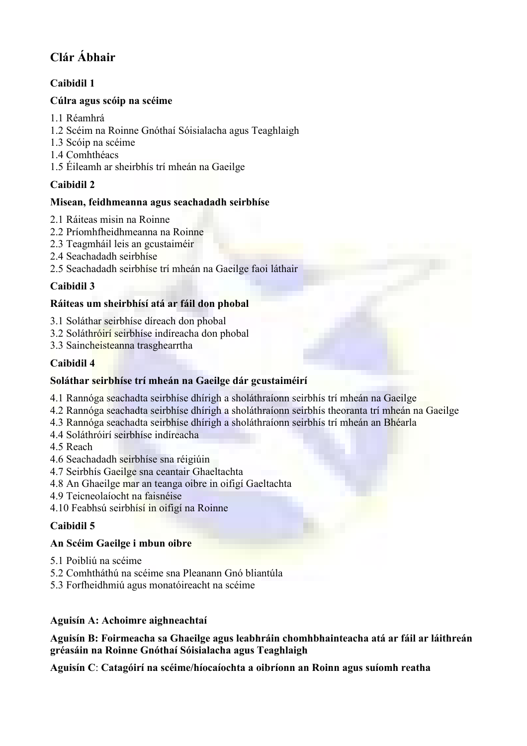# Clár Ábhair

# Caibidil 1

# Cúlra agus scóip na scéime

- 1.1 Réamhrá
- 1.2 Scéim na Roinne Gnóthaí Sóisialacha agus Teaghlaigh
- 1.3 Scóip na scéime
- 1.4 Comhthéacs
- 1.5 Éileamh ar sheirbhís trí mheán na Gaeilge

# Caibidil 2

# Misean, feidhmeanna agus seachadadh seirbhíse

- 2.1 Ráiteas misin na Roinne
- 2.2 Príomhfheidhmeanna na Roinne
- 2.3 Teagmháil leis an gcustaiméir
- 2.4 Seachadadh seirbhíse
- 2.5 Seachadadh seirbhíse trí mheán na Gaeilge faoi láthair

# Caibidil 3

# Ráiteas um sheirbhísí atá ar fáil don phobal

- 3.1 Soláthar seirbhíse díreach don phobal
- 3.2 Soláthróirí seirbhíse indíreacha don phobal
- 3.3 Saincheisteanna trasghearrtha

# Caibidil 4

# Soláthar seirbhíse trí mheán na Gaeilge dár gcustaiméirí

- 4.1 Rannóga seachadta seirbhíse dhírigh a sholáthraíonn seirbhís trí mheán na Gaeilge
- 4.2 Rannóga seachadta seirbhíse dhírigh a sholáthraíonn seirbhís theoranta trí mheán na Gaeilge
- 4.3 Rannóga seachadta seirbhíse dhírigh a sholáthraíonn seirbhís trí mheán an Bhéarla
- 4.4 Soláthróirí seirbhíse indíreacha
- 4.5 Reach
- 4.6 Seachadadh seirbhíse sna réigiúin
- 4.7 Seirbhís Gaeilge sna ceantair Ghaeltachta
- 4.8 An Ghaeilge mar an teanga oibre in oifigí Gaeltachta
- 4.9 Teicneolaíocht na faisnéise
- 4.10 Feabhsú seirbhísí in oifigí na Roinne

# Caibidil 5

# An Scéim Gaeilge i mbun oibre

- 5.1 Poibliú na scéime
- 5.2 Comhtháthú na scéime sna Pleanann Gnó bliantúla
- 5.3 Forfheidhmiú agus monatóireacht na scéime

# Aguisín A: Achoimre aighneachtaí

Aguisín B: Foirmeacha sa Ghaeilge agus leabhráin chomhbhainteacha atá ar fáil ar láithreán gréasáin na Roinne Gnóthaí Sóisialacha agus Teaghlaigh

Aguisín C: Catagóirí na scéime/híocaíochta a oibríonn an Roinn agus suíomh reatha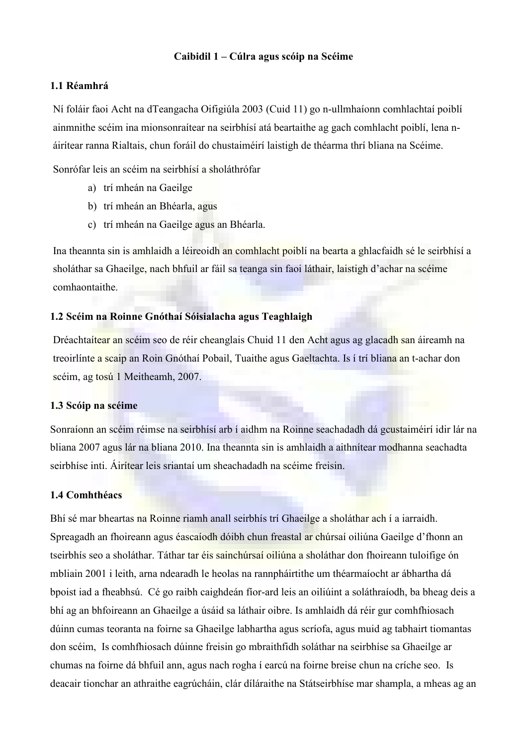#### Caibidil 1 – Cúlra agus scóip na Scéime

#### 1.1 Réamhrá

Ní foláir faoi Acht na dTeangacha Oifigiúla 2003 (Cuid 11) go n-ullmhaíonn comhlachtaí poiblí ainmnithe scéim ina mionsonraítear na seirbhísí atá beartaithe ag gach comhlacht poiblí, lena náirítear ranna Rialtais, chun foráil do chustaiméirí laistigh de théarma thrí bliana na Scéime.

Sonrófar leis an scéim na seirbhísí a sholáthrófar

- a) trí mheán na Gaeilge
- b) trí mheán an Bhéarla, agus
- c) trí mheán na Gaeilge agus an Bhéarla.

Ina theannta sin is amhlaidh a léireoidh an comhlacht poiblí na bearta a ghlacfaidh sé le seirbhísí a sholáthar sa Ghaeilge, nach bhfuil ar fáil sa teanga sin faoi láthair, laistigh d'achar na scéime comhaontaithe.

#### 1.2 Scéim na Roinne Gnóthaí Sóisialacha agus Teaghlaigh

Dréachtaítear an scéim seo de réir cheanglais Chuid 11 den Acht agus ag glacadh san áireamh na treoirlínte a scaip an Roin Gnóthaí Pobail, Tuaithe agus Gaeltachta. Is í trí bliana an t-achar don scéim, ag tosú 1 Meitheamh, 2007.

#### 1.3 Scóip na scéime

Sonraíonn an scéim réimse na seirbhísí arb í aidhm na Roinne seachadadh dá gcustaiméirí idir lár na bliana 2007 agus lár na bliana 2010. Ina theannta sin is amhlaidh a aithnítear modhanna seachadta seirbhíse inti. Áirítear leis sriantaí um sheachadadh na scéime freisin.

#### 1.4 Comhthéacs

Bhí sé mar bheartas na Roinne riamh anall seirbhís trí Ghaeilge a sholáthar ach í a iarraidh. Spreagadh an fhoireann agus éascaíodh dóibh chun freastal ar chúrsaí oiliúna Gaeilge d'fhonn an tseirbhís seo a sholáthar. Táthar tar éis sainchúrsaí oiliúna a sholáthar don fhoireann tuloifige ón mbliain 2001 i leith, arna ndearadh le heolas na rannpháirtithe um théarmaíocht ar ábhartha dá bpoist iad a fheabhsú. Cé go raibh caighdeán fíor-ard leis an oiliúint a soláthraíodh, ba bheag deis a bhí ag an bhfoireann an Ghaeilge a úsáid sa láthair oibre. Is amhlaidh dá réir gur comhfhiosach dúinn cumas teoranta na foirne sa Ghaeilge labhartha agus scríofa, agus muid ag tabhairt tiomantas don scéim, Is comhfhiosach dúinne freisin go mbraithfidh soláthar na seirbhíse sa Ghaeilge ar chumas na foirne dá bhfuil ann, agus nach rogha í earcú na foirne breise chun na críche seo. Is deacair tionchar an athraithe eagrúcháin, clár díláraithe na Státseirbhíse mar shampla, a mheas ag an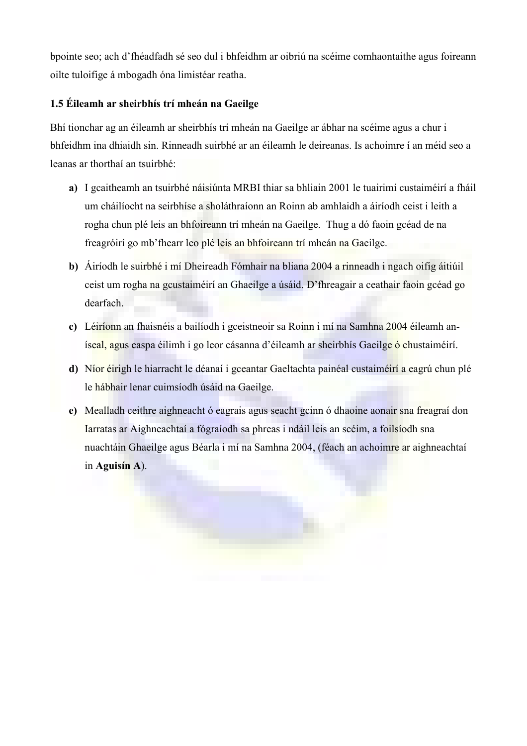bpointe seo; ach d'fhéadfadh sé seo dul i bhfeidhm ar oibriú na scéime comhaontaithe agus foireann oilte tuloifige á mbogadh óna limistéar reatha.

# 1.5 Éileamh ar sheirbhís trí mheán na Gaeilge

Bhí tionchar ag an éileamh ar sheirbhís trí mheán na Gaeilge ar ábhar na scéime agus a chur i bhfeidhm ina dhiaidh sin. Rinneadh suirbhé ar an éileamh le deireanas. Is achoimre í an méid seo a leanas ar thorthaí an tsuirbhé:

- a) I gcaitheamh an tsuirbhé náisiúnta MRBI thiar sa bhliain 2001 le tuairimí custaiméirí a fháil um cháilíocht na seirbhíse a sholáthraíonn an Roinn ab amhlaidh a áiríodh ceist i leith a rogha chun plé leis an bhfoireann trí mheán na Gaeilge. Thug a dó faoin gcéad de na freagróirí go mb'fhearr leo plé leis an bhfoireann trí mheán na Gaeilge.
- b) Áiríodh le suirbhé i mí Dheireadh Fómhair na bliana 2004 a rinneadh i ngach oifig áitiúil ceist um rogha na gcustaiméirí an Ghaeilge a úsáid. D'fhreagair a ceathair faoin gcéad go dearfach.
- c) Léiríonn an fhaisnéis a bailíodh i gceistneoir sa Roinn i mí na Samhna 2004 éileamh aníseal, agus easpa éilimh i go leor cásanna d'éileamh ar sheirbhís Gaeilge ó chustaiméirí.
- d) Níor éirigh le hiarracht le déanaí i gceantar Gaeltachta painéal custaiméirí a eagrú chun plé le hábhair lenar cuimsíodh úsáid na Gaeilge.
- e) Mealladh ceithre aighneacht ó eagrais agus seacht gcinn ó dhaoine aonair sna freagraí don Iarratas ar Aighneachtaí a fógraíodh sa phreas i ndáil leis an scéim, a foilsíodh sna nuachtáin Ghaeilge agus Béarla i mí na Samhna 2004, (féach an achoimre ar aighneachtaí in Aguisín A).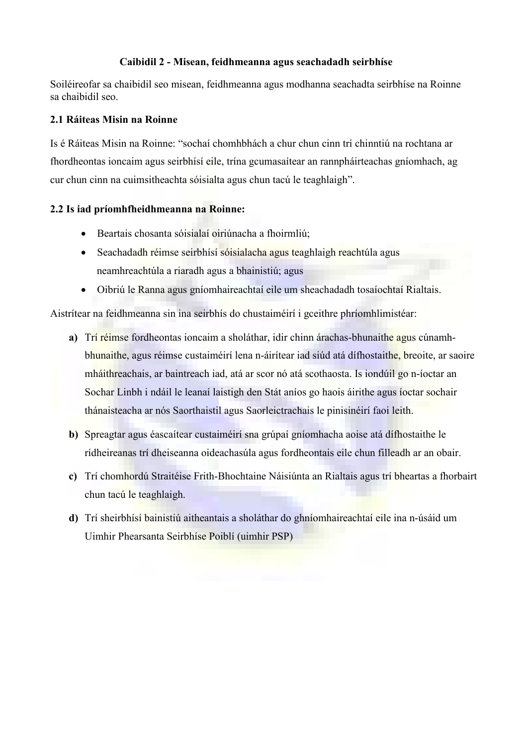#### Caibidil 2 - Misean, feidhmeanna agus seachadadh seirbhíse

Soiléireofar sa chaibidil seo misean, feidhmeanna agus modhanna seachadta seirbhíse na Roinne sa chaibidil seo.

#### 2.1 Ráiteas Misin na Roinne

Is é Ráiteas Misin na Roinne: "sochaí chomhbhách a chur chun cinn trí chinntiú na rochtana ar fhordheontas ioncaim agus seirbhísí eile, trína gcumasaítear an rannpháirteachas gníomhach, ag cur chun cinn na cuimsitheachta sóisialta agus chun tacú le teaghlaigh".

#### 2.2 Is iad príomhfheidhmeanna na Roinne:

- Beartais chosanta sóisialaí oiriúnacha a fhoirmliú;
- Seachadadh réimse seirbhísí sóisialacha agus teaghlaigh reachtúla agus neamhreachtúla a riaradh agus a bhainistiú; agus
- Oibriú le Ranna agus gníomhaireachtaí eile um sheachadadh tosaíochtaí Rialtais.

Aistrítear na feidhmeanna sin ina seirbhís do chustaiméirí i gceithre phríomhlimistéar:

- a) Trí réimse fordheontas ioncaim a sholáthar, idir chinn árachas-bhunaithe agus cúnamhbhunaithe, agus réimse custaiméirí lena n-áirítear iad siúd atá dífhostaithe, breoite, ar saoire mháithreachais, ar baintreach iad, atá ar scor nó atá scothaosta. Is iondúil go n-íoctar an Sochar Linbh i ndáil le leanaí laistigh den Stát aníos go haois áirithe agus íoctar sochair thánaisteacha ar nós Saorthaistil agus Saorleictrachais le pinisinéirí faoi leith.
- b) Spreagtar agus éascaítear custaiméirí sna grúpaí gníomhacha aoise atá dífhostaithe le rídheireanas trí dheiseanna oideachasúla agus fordheontais eile chun filleadh ar an obair.
- c) Trí chomhordú Straitéise Frith-Bhochtaine Náisiúnta an Rialtais agus trí bheartas a fhorbairt chun tacú le teaghlaigh.
- d) Trí sheirbhísí bainistiú aitheantais a sholáthar do ghníomhaireachtaí eile ina n-úsáid um Uimhir Phearsanta Seirbhíse Poiblí (uimhir PSP)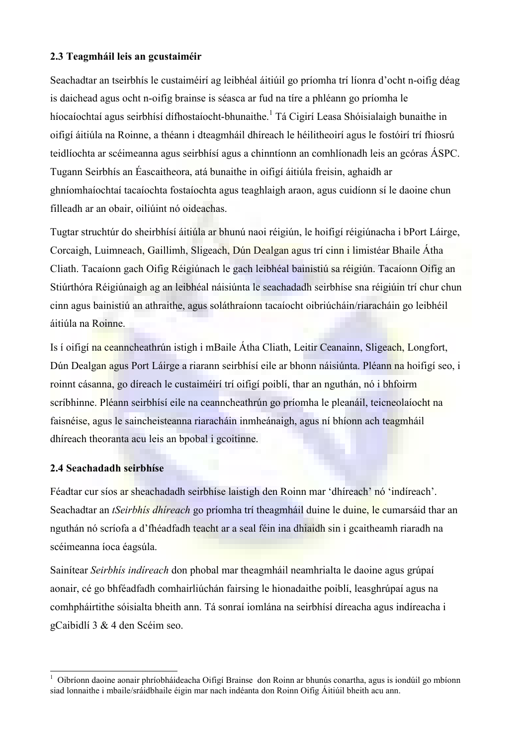#### 2.3 Teagmháil leis an gcustaiméir

Seachadtar an tseirbhís le custaiméirí ag leibhéal áitiúil go príomha trí líonra d'ocht n-oifig déag is daichead agus ocht n-oifig brainse is séasca ar fud na tíre a phléann go príomha le híocaíochtaí agus seirbhísí dífhostaíocht-bhunaithe.<sup>1</sup> Tá Cigirí Leasa Shóisialaigh bunaithe in oifigí áitiúla na Roinne, a théann i dteagmháil dhíreach le héilitheoirí agus le fostóirí trí fhiosrú teidlíochta ar scéimeanna agus seirbhísí agus a chinntíonn an comhlíonadh leis an gcóras ÁSPC. Tugann Seirbhís an Éascaitheora, atá bunaithe in oifigí áitiúla freisin, aghaidh ar ghníomhaíochtaí tacaíochta fostaíochta agus teaghlaigh araon, agus cuidíonn sí le daoine chun filleadh ar an obair, oiliúint nó oideachas.

Tugtar struchtúr do sheirbhísí áitiúla ar bhunú naoi réigiún, le hoifigí réigiúnacha i bPort Láirge, Corcaigh, Luimneach, Gaillimh, Sligeach, Dún Dealgan agus trí cinn i limistéar Bhaile Átha Cliath. Tacaíonn gach Oifig Réigiúnach le gach leibhéal bainistiú sa réigiún. Tacaíonn Oifig an Stiúrthóra Réigiúnaigh ag an leibhéal náisiúnta le seachadadh seirbhíse sna réigiúin trí chur chun cinn agus bainistiú an athraithe, agus soláthraíonn tacaíocht oibriúcháin/riaracháin go leibhéil áitiúla na Roinne.

Is í oifigí na ceanncheathrún istigh i mBaile Átha Cliath, Leitir Ceanainn, Sligeach, Longfort, Dún Dealgan agus Port Láirge a riarann seirbhísí eile ar bhonn náisiúnta. Pléann na hoifigí seo, i roinnt cásanna, go díreach le custaiméirí trí oifigí poiblí, thar an nguthán, nó i bhfoirm scríbhinne. Pléann seirbhísí eile na ceanncheathrún go príomha le pleanáil, teicneolaíocht na faisnéise, agus le saincheisteanna riaracháin inmheánaigh, agus ní bhíonn ach teagmháil dhíreach theoranta acu leis an bpobal i gcoitinne.

#### 2.4 Seachadadh seirbhíse

 $\overline{a}$ 

Féadtar cur síos ar sheachadadh seirbhíse laistigh den Roinn mar 'dhíreach' nó 'indíreach'. Seachadtar an *tSeirbhís dhíreach* go príomha trí theagmháil duine le duine, le cumarsáid thar an nguthán nó scríofa a d'fhéadfadh teacht ar a seal féin ina dhiaidh sin i gcaitheamh riaradh na scéimeanna íoca éagsúla.

Sainítear Seirbhís indíreach don phobal mar theagmháil neamhrialta le daoine agus grúpaí aonair, cé go bhféadfadh comhairliúchán fairsing le hionadaithe poiblí, leasghrúpaí agus na comhpháirtithe sóisialta bheith ann. Tá sonraí iomlána na seirbhísí díreacha agus indíreacha i gCaibidlí 3 & 4 den Scéim seo.

<sup>1</sup> Oibríonn daoine aonair phríobháideacha Oifigí Brainse don Roinn ar bhunús conartha, agus is iondúil go mbíonn siad lonnaithe i mbaile/sráidbhaile éigin mar nach indéanta don Roinn Oifig Áitiúil bheith acu ann.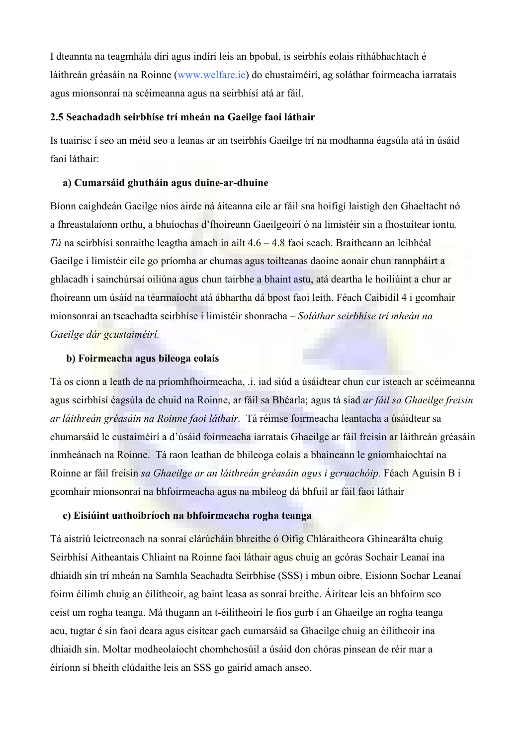I dteannta na teagmhála dírí agus indírí leis an bpobal, is seirbhís eolais ríthábhachtach é láithreán gréasáin na Roinne ([www.welfare.ie\)](http://www.welfare.ie/) do chustaiméirí, ag soláthar foirmeacha iarratais agus mionsonraí na scéimeanna agus na seirbhísí atá ar fáil.

#### 2.5 Seachadadh seirbhíse trí mheán na Gaeilge faoi láthair

Is tuairisc í seo an méid seo a leanas ar an tseirbhís Gaeilge trí na modhanna éagsúla atá in úsáid faoi láthair:

#### a) Cumarsáid ghutháin agus duine-ar-dhuine

Bíonn caighdeán Gaeilge níos airde ná áiteanna eile ar fáil sna hoifigí laistigh den Ghaeltacht nó a fhreastalaíonn orthu, a bhuíochas d'fhoireann Gaeilgeoirí ó na limistéir sin a fhostaítear iontu. Tá na seirbhísí sonraithe leagtha amach in ailt 4.6 – 4.8 faoi seach. Braitheann an leibhéal Gaeilge i limistéir eile go príomha ar chumas agus toilteanas daoine aonair chun rannpháirt a ghlacadh i sainchúrsaí oiliúna agus chun tairbhe a bhaint astu, atá deartha le hoiliúint a chur ar fhoireann um úsáid na téarmaíocht atá ábhartha dá bpost faoi leith. Féach Caibidil 4 i gcomhair mionsonraí an tseachadta seirbhíse i limistéir shonracha – Soláthar seirbhíse trí mheán na Gaeilge dár gcustaiméirí.

#### b) Foirmeacha agus bileoga eolais

Tá os cionn a leath de na príomhfhoirmeacha, .i. iad siúd a úsáidtear chun cur isteach ar scéimeanna agus seirbhísí éagsúla de chuid na Roinne, ar fáil sa Bhéarla; agus tá siad ar fáil sa Ghaeilge freisin ar láithreán gréasáin na Roinne faoi láthair. Tá réimse foirmeacha leantacha a úsáidtear sa chumarsáid le custaiméirí a d'úsáid foirmeacha iarratais Ghaeilge ar fáil freisin ar láithreán gréasáin inmheánach na Roinne. Tá raon leathan de bhileoga eolais a bhaineann le gníomhaíochtaí na Roinne ar fáil freisin sa Ghaeilge ar an láithreán gréasáin agus i gcruachóip. Féach Aguisín B i gcomhair mionsonraí na bhfoirmeacha agus na mbileog dá bhfuil ar fáil faoi láthair

#### c) Eisiúint uathoibríoch na bhfoirmeacha rogha teanga

Tá aistriú leictreonach na sonraí clárúcháin bhreithe ó Oifig Chláraitheora Ghinearálta chuig Seirbhísí Aitheantais Chliaint na Roinne faoi láthair agus chuig an gcóras Sochair Leanaí ina dhiaidh sin trí mheán na Samhla Seachadta Seirbhíse (SSS) i mbun oibre. Eisíonn Sochar Leanaí foirm éilimh chuig an éilitheoir, ag baint leasa as sonraí breithe. Áirítear leis an bhfoirm seo ceist um rogha teanga. Má thugann an t-éilitheoirí le fios gurb í an Ghaeilge an rogha teanga acu, tugtar é sin faoi deara agus eisítear gach cumarsáid sa Ghaeilge chuig an éilitheoir ina dhiaidh sin. Moltar modheolaíocht chomhchosúil a úsáid don chóras pinsean de réir mar a éiríonn sí bheith clúdaithe leis an SSS go gairid amach anseo.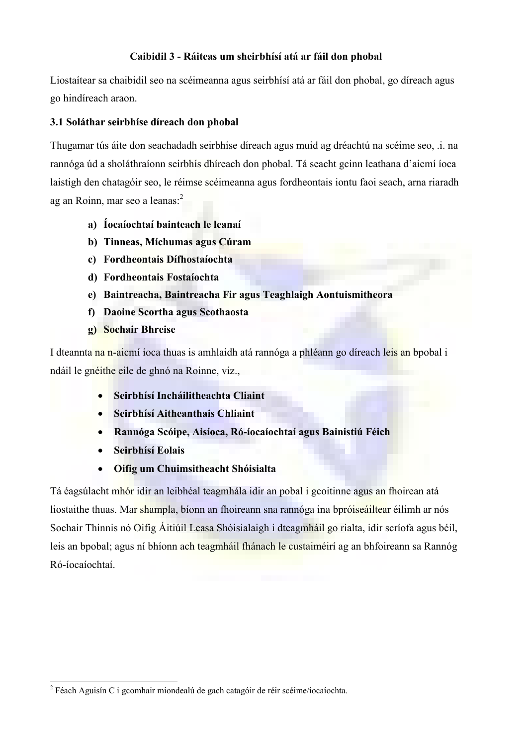### Caibidil 3 - Ráiteas um sheirbhísí atá ar fáil don phobal

Liostaítear sa chaibidil seo na scéimeanna agus seirbhísí atá ar fáil don phobal, go díreach agus go hindíreach araon.

#### 3.1 Soláthar seirbhíse díreach don phobal

Thugamar tús áite don seachadadh seirbhíse díreach agus muid ag dréachtú na scéime seo, .i. na rannóga úd a sholáthraíonn seirbhís dhíreach don phobal. Tá seacht gcinn leathana d'aicmí íoca laistigh den chatagóir seo, le réimse scéimeanna agus fordheontais iontu faoi seach, arna riaradh ag an Roinn, mar seo a leanas:<sup>2</sup>

- a) Íocaíochtaí bainteach le leanaí
- b) Tinneas, Míchumas agus Cúram
- c) Fordheontais Dífhostaíochta
- d) Fordheontais Fostaíochta
- e) Baintreacha, Baintreacha Fir agus Teaghlaigh Aontuismitheora
- f) Daoine Scortha agus Scothaosta
- g) Sochair Bhreise

I dteannta na n-aicmí íoca thuas is amhlaidh atá rannóga a phléann go díreach leis an bpobal i ndáil le gnéithe eile de ghnó na Roinne, viz.,

- Seirbhísí Incháilitheachta Cliaint
- Seirbhísí Aitheanthais Chliaint
- Rannóga Scóipe, Aisíoca, Ró-íocaíochtaí agus Bainistiú Féich
- Seirbhísí Eolais
- Oifig um Chuimsitheacht Shóisialta

Tá éagsúlacht mhór idir an leibhéal teagmhála idir an pobal i gcoitinne agus an fhoirean atá liostaithe thuas. Mar shampla, bíonn an fhoireann sna rannóga ina bpróiseáiltear éilimh ar nós Sochair Thinnis nó Oifig Áitiúil Leasa Shóisialaigh i dteagmháil go rialta, idir scríofa agus béil, leis an bpobal; agus ní bhíonn ach teagmháil fhánach le custaiméirí ag an bhfoireann sa Rannóg Ró-íocaíochtaí.

 2 Féach Aguisín C i gcomhair miondealú de gach catagóir de réir scéime/íocaíochta.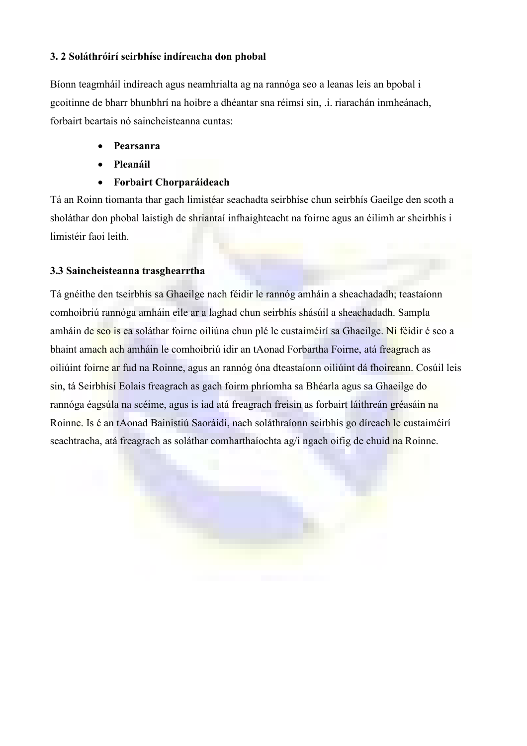#### 3. 2 Soláthróirí seirbhíse indíreacha don phobal

Bíonn teagmháil indíreach agus neamhrialta ag na rannóga seo a leanas leis an bpobal i gcoitinne de bharr bhunbhrí na hoibre a dhéantar sna réimsí sin, .i. riarachán inmheánach, forbairt beartais nó saincheisteanna cuntas:

- Pearsanra
- Pleanáil
- Forbairt Chorparáideach

Tá an Roinn tiomanta thar gach limistéar seachadta seirbhíse chun seirbhís Gaeilge den scoth a sholáthar don phobal laistigh de shriantaí infhaighteacht na foirne agus an éilimh ar sheirbhís i limistéir faoi leith.

#### 3.3 Saincheisteanna trasghearrtha

Tá gnéithe den tseirbhís sa Ghaeilge nach féidir le rannóg amháin a sheachadadh; teastaíonn comhoibriú rannóga amháin eile ar a laghad chun seirbhís shásúil a sheachadadh. Sampla amháin de seo is ea soláthar foirne oiliúna chun plé le custaiméirí sa Ghaeilge. Ní féidir é seo a bhaint amach ach amháin le comhoibriú idir an tAonad Forbartha Foirne, atá freagrach as oiliúint foirne ar fud na Roinne, agus an rannóg óna dteastaíonn oiliúint dá fhoireann. Cosúil leis sin, tá Seirbhísí Eolais freagrach as gach foirm phríomha sa Bhéarla agus sa Ghaeilge do rannóga éagsúla na scéime, agus is iad atá freagrach freisin as forbairt láithreán gréasáin na Roinne. Is é an tAonad Bainistiú Saoráidí, nach soláthraíonn seirbhís go díreach le custaiméirí seachtracha, atá freagrach as soláthar comharthaíochta ag/i ngach oifig de chuid na Roinne.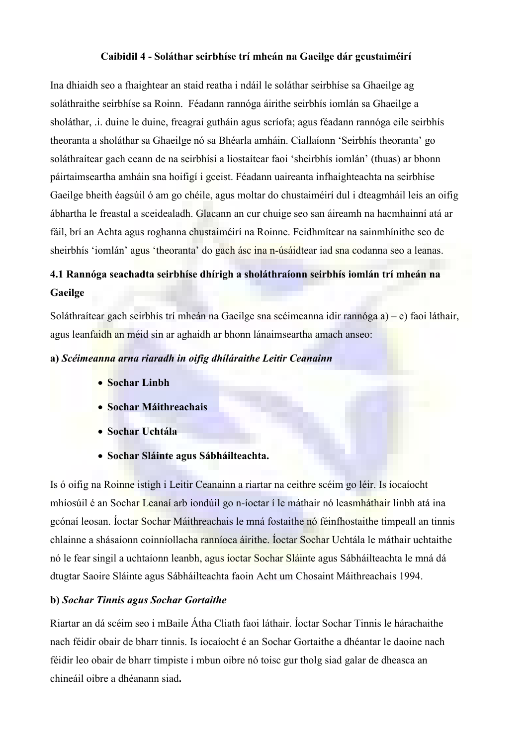#### Caibidil 4 - Soláthar seirbhíse trí mheán na Gaeilge dár gcustaiméirí

Ina dhiaidh seo a fhaightear an staid reatha i ndáil le soláthar seirbhíse sa Ghaeilge ag soláthraithe seirbhíse sa Roinn. Féadann rannóga áirithe seirbhís iomlán sa Ghaeilge a sholáthar, .i. duine le duine, freagraí gutháin agus scríofa; agus féadann rannóga eile seirbhís theoranta a sholáthar sa Ghaeilge nó sa Bhéarla amháin. Ciallaíonn 'Seirbhís theoranta' go soláthraítear gach ceann de na seirbhísí a liostaítear faoi 'sheirbhís iomlán' (thuas) ar bhonn páirtaimseartha amháin sna hoifigí i gceist. Féadann uaireanta infhaighteachta na seirbhíse Gaeilge bheith éagsúil ó am go chéile, agus moltar do chustaiméirí dul i dteagmháil leis an oifig ábhartha le freastal a sceidealadh. Glacann an cur chuige seo san áireamh na hacmhainní atá ar fáil, brí an Achta agus roghanna chustaiméirí na Roinne. Feidhmítear na sainmhínithe seo de sheirbhís 'iomlán' agus 'theoranta' do gach ásc ina n-úsáidtear iad sna codanna seo a leanas.

# 4.1 Rannóga seachadta seirbhíse dhírigh a sholáthraíonn seirbhís iomlán trí mheán na Gaeilge

Soláthraítear gach seirbhís trí mheán na Gaeilge sna scéimeanna idir rannóga a) – e) faoi láthair, agus leanfaidh an méid sin ar aghaidh ar bhonn lánaimseartha amach anseo:

#### a) Scéimeanna arna riaradh in oifig dhíláraithe Leitir Ceanainn

- Sochar Linbh
- Sochar Máithreachais
- Sochar Uchtála
- Sochar Sláinte agus Sábháilteachta.

Is ó oifig na Roinne istigh i Leitir Ceanainn a riartar na ceithre scéim go léir. Is íocaíocht mhíosúil é an Sochar Leanaí arb iondúil go n-íoctar í le máthair nó leasmháthair linbh atá ina gcónaí leosan. Íoctar Sochar Máithreachais le mná fostaithe nó féinfhostaithe timpeall an tinnis chlainne a shásaíonn coinníollacha ranníoca áirithe. Íoctar Sochar Uchtála le máthair uchtaithe nó le fear singil a uchtaíonn leanbh, agus íoctar Sochar Sláinte agus Sábháilteachta le mná dá dtugtar Saoire Sláinte agus Sábháilteachta faoin Acht um Chosaint Máithreachais 1994.

#### b) Sochar Tinnis agus Sochar Gortaithe

Riartar an dá scéim seo i mBaile Átha Cliath faoi láthair. Íoctar Sochar Tinnis le hárachaithe nach féidir obair de bharr tinnis. Is íocaíocht é an Sochar Gortaithe a dhéantar le daoine nach féidir leo obair de bharr timpiste i mbun oibre nó toisc gur tholg siad galar de dheasca an chineáil oibre a dhéanann siad.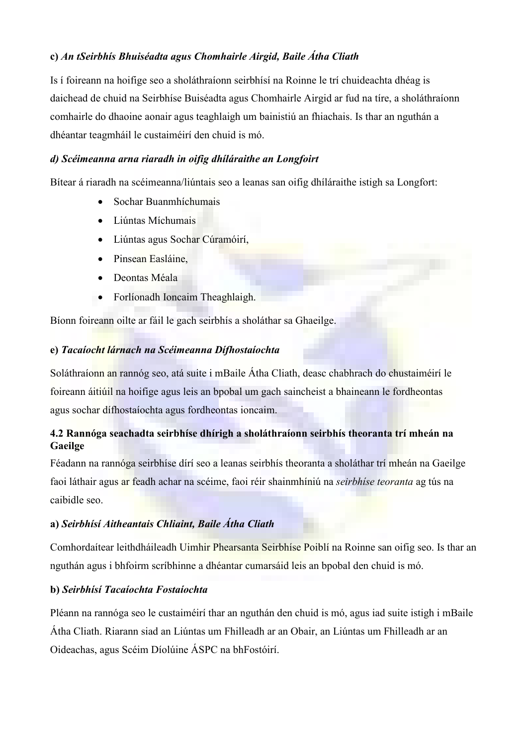## c) An tSeirbhís Bhuiséadta agus Chomhairle Airgid, Baile Átha Cliath

Is í foireann na hoifige seo a sholáthraíonn seirbhísí na Roinne le trí chuideachta dhéag is daichead de chuid na Seirbhíse Buiséadta agus Chomhairle Airgid ar fud na tíre, a sholáthraíonn comhairle do dhaoine aonair agus teaghlaigh um bainistiú an fhiachais. Is thar an nguthán a dhéantar teagmháil le custaiméirí den chuid is mó.

#### d) Scéimeanna arna riaradh in oifig dhíláraithe an Longfoirt

Bítear á riaradh na scéimeanna/liúntais seo a leanas san oifig dhíláraithe istigh sa Longfort:

- Sochar Buanmhíchumais
- Liúntas Míchumais
- Liúntas agus Sochar Cúramóirí,
- Pinsean Easláine.
- Deontas Méala
- Forlíonadh Ioncaim Theaghlaigh.

Bíonn foireann oilte ar fáil le gach seirbhís a sholáthar sa Ghaeilge.

### e) Tacaíocht lárnach na Scéimeanna Dífhostaíochta

Soláthraíonn an rannóg seo, atá suite i mBaile Átha Cliath, deasc chabhrach do chustaiméirí le foireann áitiúil na hoifige agus leis an bpobal um gach saincheist a bhaineann le fordheontas agus sochar dífhostaíochta agus fordheontas ioncaim.

# 4.2 Rannóga seachadta seirbhíse dhírigh a sholáthraíonn seirbhís theoranta trí mheán na Gaeilge

Féadann na rannóga seirbhíse dírí seo a leanas seirbhís theoranta a sholáthar trí mheán na Gaeilge faoi láthair agus ar feadh achar na scéime, faoi réir shainmhíniú na seirbhíse teoranta ag tús na caibidle seo.

# a) Seirbhísí Aitheantais Chliaint, Baile Átha Cliath

Comhordaítear leithdháileadh Uimhir Phearsanta Seirbhíse Poiblí na Roinne san oifig seo. Is thar an nguthán agus i bhfoirm scríbhinne a dhéantar cumarsáid leis an bpobal den chuid is mó.

# b) Seirbhísí Tacaíochta Fostaíochta

Pléann na rannóga seo le custaiméirí thar an nguthán den chuid is mó, agus iad suite istigh i mBaile Átha Cliath. Riarann siad an Liúntas um Fhilleadh ar an Obair, an Liúntas um Fhilleadh ar an Oideachas, agus Scéim Díolúine ÁSPC na bhFostóirí.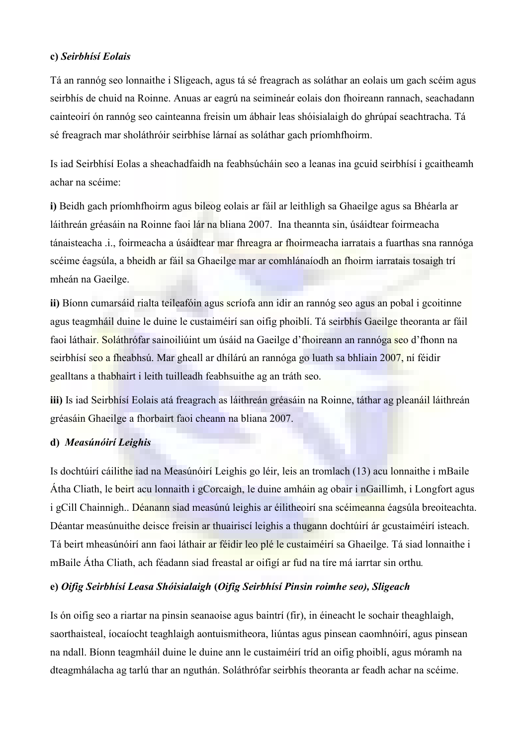#### c) Seirbhísí Eolais

Tá an rannóg seo lonnaithe i Sligeach, agus tá sé freagrach as soláthar an eolais um gach scéim agus seirbhís de chuid na Roinne. Anuas ar eagrú na seimineár eolais don fhoireann rannach, seachadann cainteoirí ón rannóg seo cainteanna freisin um ábhair leas shóisialaigh do ghrúpaí seachtracha. Tá sé freagrach mar sholáthróir seirbhíse lárnaí as soláthar gach príomhfhoirm.

Is iad Seirbhísí Eolas a sheachadfaidh na feabhsúcháin seo a leanas ina gcuid seirbhísí i gcaitheamh achar na scéime:

i) Beidh gach príomhfhoirm agus bileog eolais ar fáil ar leithligh sa Ghaeilge agus sa Bhéarla ar láithreán gréasáin na Roinne faoi lár na bliana 2007. Ina theannta sin, úsáidtear foirmeacha tánaisteacha .i., foirmeacha a úsáidtear mar fhreagra ar fhoirmeacha iarratais a fuarthas sna rannóga scéime éagsúla, a bheidh ar fáil sa Ghaeilge mar ar comhlánaíodh an fhoirm iarratais tosaigh trí mheán na Gaeilge.

ii) Bíonn cumarsáid rialta teileafóin agus scríofa ann idir an rannóg seo agus an pobal i gcoitinne agus teagmháil duine le duine le custaiméirí san oifig phoiblí. Tá seirbhís Gaeilge theoranta ar fáil faoi láthair. Soláthrófar sainoiliúint um úsáid na Gaeilge d'fhoireann an rannóga seo d'fhonn na seirbhísí seo a fheabhsú. Mar gheall ar dhílárú an rannóga go luath sa bhliain 2007, ní féidir gealltans a thabhairt i leith tuilleadh feabhsuithe ag an tráth seo.

iii) Is iad Seirbhísí Eolais atá freagrach as láithreán gréasáin na Roinne, táthar ag pleanáil láithreán gréasáin Ghaeilge a fhorbairt faoi cheann na bliana 2007.

#### d) Measúnóirí Leighis

Is dochtúirí cáilithe iad na Measúnóirí Leighis go léir, leis an tromlach (13) acu lonnaithe i mBaile Átha Cliath, le beirt acu lonnaith i gCorcaigh, le duine amháin ag obair i nGaillimh, i Longfort agus i gCill Chainnigh.. Déanann siad measúnú leighis ar éilitheoirí sna scéimeanna éagsúla breoiteachta. Déantar measúnuithe deisce freisin ar thuairiscí leighis a thugann dochtúirí ár gcustaiméirí isteach. Tá beirt mheasúnóirí ann faoi láthair ar féidir leo plé le custaiméirí sa Ghaeilge. Tá siad lonnaithe i mBaile Átha Cliath, ach féadann siad freastal ar oifigí ar fud na tíre má iarrtar sin orthu.

#### e) Oifig Seirbhísí Leasa Shóisialaigh (Oifig Seirbhísí Pinsin roimhe seo), Sligeach

Is ón oifig seo a riartar na pinsin seanaoise agus baintrí (fir), in éineacht le sochair theaghlaigh, saorthaisteal, íocaíocht teaghlaigh aontuismitheora, liúntas agus pinsean caomhnóirí, agus pinsean na ndall. Bíonn teagmháil duine le duine ann le custaiméirí tríd an oifig phoiblí, agus móramh na dteagmhálacha ag tarlú thar an nguthán. Soláthrófar seirbhís theoranta ar feadh achar na scéime.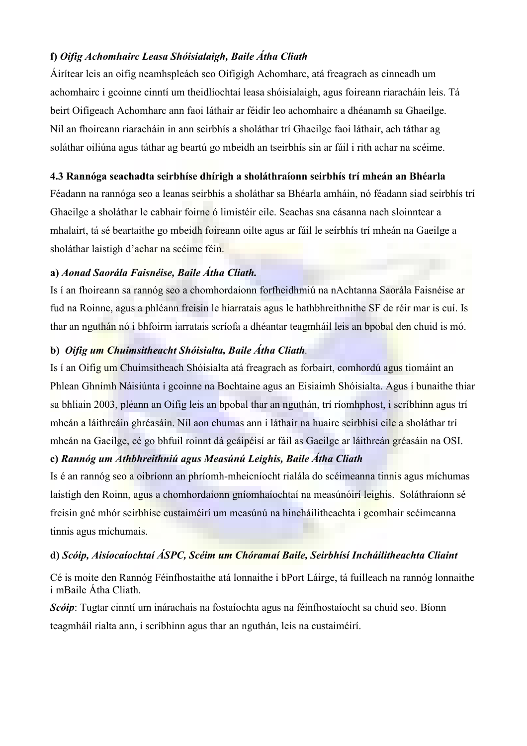### f) Oifig Achomhairc Leasa Shóisialaigh, Baile Átha Cliath

Áirítear leis an oifig neamhspleách seo Oifigigh Achomharc, atá freagrach as cinneadh um achomhairc i gcoinne cinntí um theidlíochtaí leasa shóisialaigh, agus foireann riaracháin leis. Tá beirt Oifigeach Achomharc ann faoi láthair ar féidir leo achomhairc a dhéanamh sa Ghaeilge. Níl an fhoireann riaracháin in ann seirbhís a sholáthar trí Ghaeilge faoi láthair, ach táthar ag soláthar oiliúna agus táthar ag beartú go mbeidh an tseirbhís sin ar fáil i rith achar na scéime.

#### 4.3 Rannóga seachadta seirbhíse dhírigh a sholáthraíonn seirbhís trí mheán an Bhéarla

Féadann na rannóga seo a leanas seirbhís a sholáthar sa Bhéarla amháin, nó féadann siad seirbhís trí Ghaeilge a sholáthar le cabhair foirne ó limistéir eile. Seachas sna cásanna nach sloinntear a mhalairt, tá sé beartaithe go mbeidh foireann oilte agus ar fáil le seírbhís trí mheán na Gaeilge a sholáthar laistigh d'achar na scéime féin.

#### a) Aonad Saorála Faisnéise, Baile Átha Cliath.

Is í an fhoireann sa rannóg seo a chomhordaíonn forfheidhmiú na nAchtanna Saorála Faisnéise ar fud na Roinne, agus a phléann freisin le hiarratais agus le hathbhreithnithe SF de réir mar is cuí. Is thar an nguthán nó i bhfoirm iarratais scríofa a dhéantar teagmháil leis an bpobal den chuid is mó.

### b) Oifig um Chuimsitheacht Shóisialta, Baile Átha Cliath.

Is í an Oifig um Chuimsitheach Shóisialta atá freagrach as forbairt, comhordú agus tiomáint an Phlean Ghnímh Náisiúnta i gcoinne na Bochtaine agus an Eisiaimh Shóisialta. Agus í bunaithe thiar sa bhliain 2003, pléann an Oifig leis an bpobal thar an nguthán, trí ríomhphost, i scríbhinn agus trí mheán a láithreáin ghréasáin. Níl aon chumas ann i láthair na huaire seirbhísí eile a sholáthar trí mheán na Gaeilge, cé go bhfuil roinnt dá gcáipéisí ar fáil as Gaeilge ar láithreán gréasáin na OSI.

#### c) Rannóg um Athbhreithniú agus Measúnú Leighis, Baile Átha Cliath

Is é an rannóg seo a oibríonn an phríomh-mheicníocht rialála do scéimeanna tinnis agus míchumas laistigh den Roinn, agus a chomhordaíonn gníomhaíochtaí na measúnóirí leighis. Soláthraíonn sé freisin gné mhór seirbhíse custaiméirí um measúnú na hincháilitheachta i gcomhair scéimeanna tinnis agus míchumais.

#### d) Scóip, Aisíocaíochtaí ÁSPC, Scéim um Chóramaí Baile, Seirbhísí Incháilitheachta Cliaint

Cé is moite den Rannóg Féinfhostaithe atá lonnaithe i bPort Láirge, tá fuílleach na rannóg lonnaithe i mBaile Átha Cliath.

Scóip: Tugtar cinntí um inárachais na fostaíochta agus na féinfhostaíocht sa chuid seo. Bíonn teagmháil rialta ann, i scríbhinn agus thar an nguthán, leis na custaiméirí.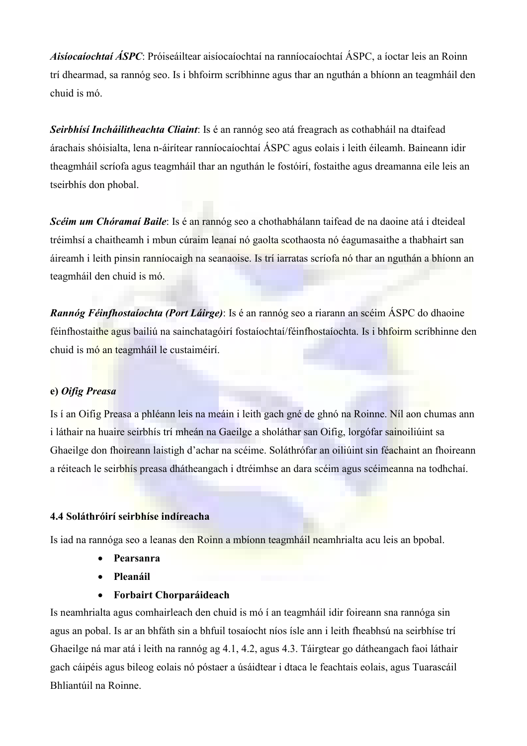Aisíocaíochtaí ÁSPC: Próiseáiltear aisíocaíochtaí na ranníocaíochtaí ÁSPC, a íoctar leis an Roinn trí dhearmad, sa rannóg seo. Is i bhfoirm scríbhinne agus thar an nguthán a bhíonn an teagmháil den chuid is mó.

Seirbhísí Incháilitheachta Cliaint: Is é an rannóg seo atá freagrach as cothabháil na dtaifead árachais shóisialta, lena n-áirítear ranníocaíochtaí ÁSPC agus eolais i leith éileamh. Baineann idir theagmháil scríofa agus teagmháil thar an nguthán le fostóirí, fostaithe agus dreamanna eile leis an tseirbhís don phobal.

Scéim um Chóramaí Baile: Is é an rannóg seo a chothabhálann taifead de na daoine atá i dteideal tréimhsí a chaitheamh i mbun cúraim leanaí nó gaolta scothaosta nó éagumasaithe a thabhairt san áireamh i leith pinsin ranníocaigh na seanaoise. Is trí iarratas scríofa nó thar an nguthán a bhíonn an teagmháil den chuid is mó.

Rannóg Féinfhostaíochta (Port Láirge): Is é an rannóg seo a riarann an scéim ÁSPC do dhaoine féinfhostaithe agus bailiú na sainchatagóirí fostaíochtaí/féinfhostaíochta. Is i bhfoirm scríbhinne den chuid is mó an teagmháil le custaiméirí.

#### e) Oifig Preasa

Is í an Oifig Preasa a phléann leis na meáin i leith gach gné de ghnó na Roinne. Níl aon chumas ann i láthair na huaire seirbhís trí mheán na Gaeilge a sholáthar san Oifig, lorgófar sainoiliúint sa Ghaeilge don fhoireann laistigh d'achar na scéime. Soláthrófar an oiliúint sin féachaint an fhoireann a réiteach le seirbhís preasa dhátheangach i dtréimhse an dara scéim agus scéimeanna na todhchaí.

#### 4.4 Soláthróirí seirbhíse indíreacha

Is iad na rannóga seo a leanas den Roinn a mbíonn teagmháil neamhrialta acu leis an bpobal.

- Pearsanra
- Pleanáil
- Forbairt Chorparáideach

Is neamhrialta agus comhairleach den chuid is mó í an teagmháil idir foireann sna rannóga sin agus an pobal. Is ar an bhfáth sin a bhfuil tosaíocht níos ísle ann i leith fheabhsú na seirbhíse trí Ghaeilge ná mar atá i leith na rannóg ag 4.1, 4.2, agus 4.3. Táirgtear go dátheangach faoi láthair gach cáipéis agus bileog eolais nó póstaer a úsáidtear i dtaca le feachtais eolais, agus Tuarascáil Bhliantúil na Roinne.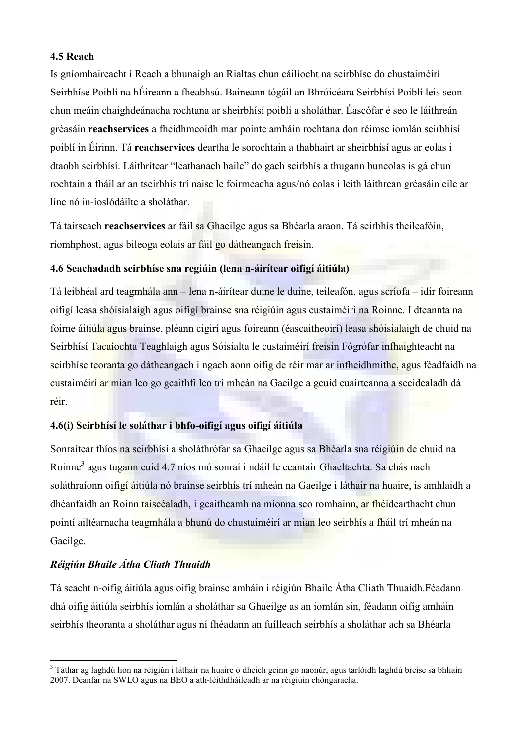#### 4.5 Reach

Is gníomhaireacht í Reach a bhunaigh an Rialtas chun cáilíocht na seirbhíse do chustaiméirí Seirbhíse Poiblí na hÉireann a fheabhsú. Baineann tógáil an Bhróicéara Seirbhísí Poiblí leis seon chun meáin chaighdeánacha rochtana ar sheirbhísí poiblí a sholáthar. Éascófar é seo le láithreán gréasáin reachservices a fheidhmeoidh mar pointe amháin rochtana don réimse iomlán seirbhísí poiblí in Éirinn. Tá reachservices deartha le sorochtain a thabhairt ar sheirbhísí agus ar eolas i dtaobh seirbhísí. Láithrítear "leathanach baile" do gach seirbhís a thugann buneolas is gá chun rochtain a fháil ar an tseirbhís trí naisc le foirmeacha agus/nó eolas i leith láithrean gréasáin eile ar líne nó in-íoslódáilte a sholáthar.

Tá tairseach reachservices ar fáil sa Ghaeilge agus sa Bhéarla araon. Tá seirbhís theileafóin, ríomhphost, agus bileoga eolais ar fáil go dátheangach freisin.

#### 4.6 Seachadadh seirbhíse sna regiúin (lena n-áirítear oifigí áitiúla)

Tá leibhéal ard teagmhála ann – lena n-áirítear duine le duine, teileafón, agus scríofa – idir foireann oifigí leasa shóisialaigh agus oifigí brainse sna réigiúin agus custaiméirí na Roinne. I dteannta na foirne áitiúla agus brainse, pléann cigirí agus foireann (éascaitheoirí) leasa shóisialaigh de chuid na Seirbhísí Tacaíochta Teaghlaigh agus Sóisialta le custaiméirí freisin Fógrófar infhaighteacht na seirbhíse teoranta go dátheangach i ngach aonn oifig de réir mar ar infheidhmithe, agus féadfaidh na custaiméirí ar mian leo go gcaithfí leo trí mheán na Gaeilge a gcuid cuairteanna a sceidealadh dá réir.

#### 4.6(i) Seirbhísí le soláthar i bhfo-oifigí agus oifigí áitiúla

Sonraítear thíos na seirbhísí a sholáthrófar sa Ghaeilge agus sa Bhéarla sna réigiúin de chuid na Roinne<sup>3</sup> agus tugann cuid 4.7 níos mó sonraí i ndáil le ceantair Ghaeltachta. Sa chás nach soláthraíonn oifigí áitiúla nó brainse seirbhís trí mheán na Gaeilge i láthair na huaire, is amhlaidh a dhéanfaidh an Roinn taiscéaladh, i gcaitheamh na míonna seo romhainn, ar fhéidearthacht chun pointí ailtéarnacha teagmhála a bhunú do chustaiméirí ar mian leo seirbhís a fháil trí mheán na Gaeilge.

### Réigiún Bhaile Átha Cliath Thuaidh

 $\overline{a}$ 

Tá seacht n-oifig áitiúla agus oifig brainse amháin i réigiún Bhaile Átha Cliath Thuaidh.Féadann dhá oifig áitiúla seirbhís iomlán a sholáthar sa Ghaeilge as an iomlán sin, féadann oifig amháin seirbhís theoranta a sholáthar agus ní fhéadann an fuílleach seirbhís a sholáthar ach sa Bhéarla

<sup>&</sup>lt;sup>3</sup> Táthar ag laghdú lion na réigiún i láthair na huaire ó dheich gcinn go naonúr, agus tarlóidh laghdú breise sa bhliain 2007. Déanfar na SWLO agus na BEO a ath-léithdháileadh ar na réigiúin chóngaracha.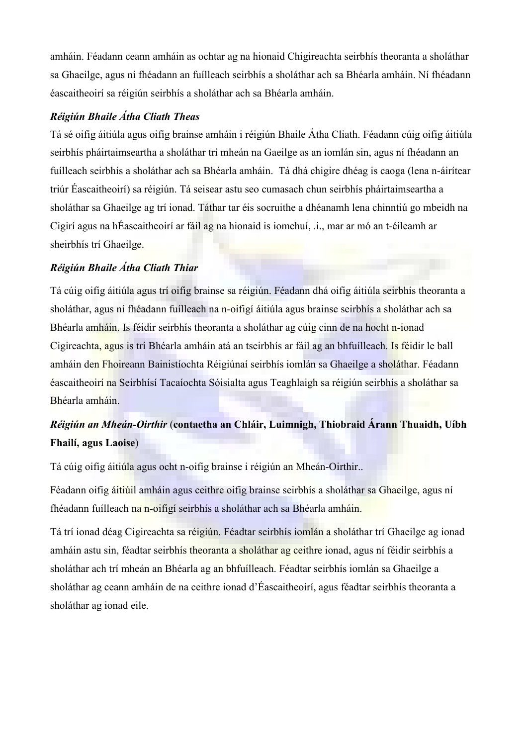amháin. Féadann ceann amháin as ochtar ag na hionaid Chigireachta seirbhís theoranta a sholáthar sa Ghaeilge, agus ní fhéadann an fuílleach seirbhís a sholáthar ach sa Bhéarla amháin. Ní fhéadann éascaitheoirí sa réigiún seirbhís a sholáthar ach sa Bhéarla amháin.

### Réigiún Bhaile Átha Cliath Theas

Tá sé oifig áitiúla agus oifig brainse amháin i réigiún Bhaile Átha Cliath. Féadann cúig oifig áitiúla seirbhís pháirtaimseartha a sholáthar trí mheán na Gaeilge as an iomlán sin, agus ní fhéadann an fuílleach seirbhís a sholáthar ach sa Bhéarla amháin. Tá dhá chigire dhéag is caoga (lena n-áirítear triúr Éascaitheoirí) sa réigiún. Tá seisear astu seo cumasach chun seirbhís pháirtaimseartha a sholáthar sa Ghaeilge ag trí ionad. Táthar tar éis socruithe a dhéanamh lena chinntiú go mbeidh na Cigirí agus na hÉascaitheoirí ar fáil ag na hionaid is iomchuí, .i., mar ar mó an t-éileamh ar sheirbhís trí Ghaeilge.

# Réigiún Bhaile Átha Cliath Thiar

Tá cúig oifig áitiúla agus trí oifig brainse sa réigiún. Féadann dhá oifig áitiúla seirbhís theoranta a sholáthar, agus ní fhéadann fuílleach na n-oifigí áitiúla agus brainse seirbhís a sholáthar ach sa Bhéarla amháin. Is féidir seirbhís theoranta a sholáthar ag cúig cinn de na hocht n-ionad Cigireachta, agus is trí Bhéarla amháin atá an tseirbhís ar fáil ag an bhfuílleach. Is féidir le ball amháin den Fhoireann Bainistíochta Réigiúnaí seirbhís iomlán sa Ghaeilge a sholáthar. Féadann éascaitheoirí na Seirbhísí Tacaíochta Sóisialta agus Teaghlaigh sa réigiún seirbhís a sholáthar sa Bhéarla amháin.

# Réigiún an Mheán-Oirthir (contaetha an Chláir, Luimnigh, Thiobraid Árann Thuaidh, Uíbh Fhailí, agus Laoise)

Tá cúig oifig áitiúla agus ocht n-oifig brainse i réigiún an Mheán-Oirthir..

Féadann oifig áitiúil amháin agus ceithre oifig brainse seirbhís a sholáthar sa Ghaeilge, agus ní fhéadann fuílleach na n-oifigí seirbhís a sholáthar ach sa Bhéarla amháin.

Tá trí ionad déag Cigireachta sa réigiún. Féadtar seirbhís iomlán a sholáthar trí Ghaeilge ag ionad amháin astu sin, féadtar seirbhís theoranta a sholáthar ag ceithre ionad, agus ní féidir seirbhís a sholáthar ach trí mheán an Bhéarla ag an bhfuílleach. Féadtar seirbhís iomlán sa Ghaeilge a sholáthar ag ceann amháin de na ceithre ionad d'Éascaitheoirí, agus féadtar seirbhís theoranta a sholáthar ag ionad eile.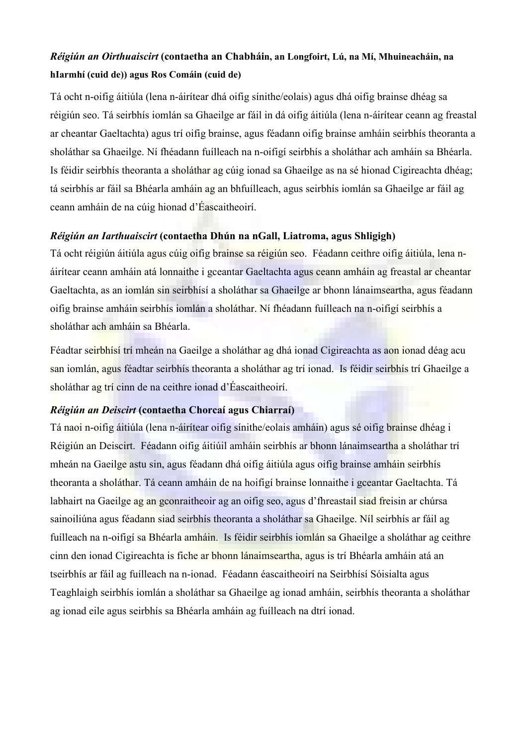# Réigiún an Oirthuaiscirt (contaetha an Chabháin, an Longfoirt, Lú, na Mí, Mhuineacháin, na hIarmhí (cuid de)) agus Ros Comáin (cuid de)

Tá ocht n-oifig áitiúla (lena n-áirítear dhá oifig sínithe/eolais) agus dhá oifig brainse dhéag sa réigiún seo. Tá seirbhís iomlán sa Ghaeilge ar fáil in dá oifig áitiúla (lena n-áirítear ceann ag freastal ar cheantar Gaeltachta) agus trí oifig brainse, agus féadann oifig brainse amháin seirbhís theoranta a sholáthar sa Ghaeilge. Ní fhéadann fuílleach na n-oifigí seirbhís a sholáthar ach amháin sa Bhéarla. Is féidir seirbhís theoranta a sholáthar ag cúig ionad sa Ghaeilge as na sé hionad Cigireachta dhéag; tá seirbhís ar fáil sa Bhéarla amháin ag an bhfuílleach, agus seirbhís iomlán sa Ghaeilge ar fáil ag ceann amháin de na cúig hionad d'Éascaitheoirí.

#### Réigiún an Iarthuaiscirt (contaetha Dhún na nGall, Liatroma, agus Shligigh)

Tá ocht réigiún áitiúla agus cúig oifig brainse sa réigiún seo. Féadann ceithre oifig áitiúla, lena náirítear ceann amháin atá lonnaithe i gceantar Gaeltachta agus ceann amháin ag freastal ar cheantar Gaeltachta, as an iomlán sin seirbhísí a sholáthar sa Ghaeilge ar bhonn lánaimseartha, agus féadann oifig brainse amháin seirbhís iomlán a sholáthar. Ní fhéadann fuílleach na n-oifigí seirbhís a sholáthar ach amháin sa Bhéarla.

Féadtar seirbhísí trí mheán na Gaeilge a sholáthar ag dhá ionad Cigireachta as aon ionad déag acu san iomlán, agus féadtar seirbhís theoranta a sholáthar ag trí ionad. Is féidir seirbhís trí Ghaeilge a sholáthar ag trí cinn de na ceithre ionad d'Éascaitheoirí.

#### Réigiún an Deiscirt (contaetha Chorcaí agus Chiarraí)

Tá naoi n-oifig áitiúla (lena n-áirítear oifig sínithe/eolais amháin) agus sé oifig brainse dhéag i Réigiún an Deiscirt. Féadann oifig áitiúil amháin seirbhís ar bhonn lánaimseartha a sholáthar trí mheán na Gaeilge astu sin, agus féadann dhá oifig áitiúla agus oifig brainse amháin seirbhís theoranta a sholáthar. Tá ceann amháin de na hoifigí brainse lonnaithe i gceantar Gaeltachta. Tá labhairt na Gaeilge ag an gconraitheoir ag an oifig seo, agus d'fhreastail siad freisin ar chúrsa sainoiliúna agus féadann siad seirbhís theoranta a sholáthar sa Ghaeilge. Níl seirbhís ar fáil ag fuílleach na n-oifigí sa Bhéarla amháin. Is féidir seirbhís iomlán sa Ghaeilge a sholáthar ag ceithre cinn den ionad Cigireachta is fiche ar bhonn lánaimseartha, agus is trí Bhéarla amháin atá an tseirbhís ar fáil ag fuílleach na n-ionad. Féadann éascaitheoirí na Seirbhísí Sóisialta agus Teaghlaigh seirbhís iomlán a sholáthar sa Ghaeilge ag ionad amháin, seirbhís theoranta a sholáthar ag ionad eile agus seirbhís sa Bhéarla amháin ag fuílleach na dtrí ionad.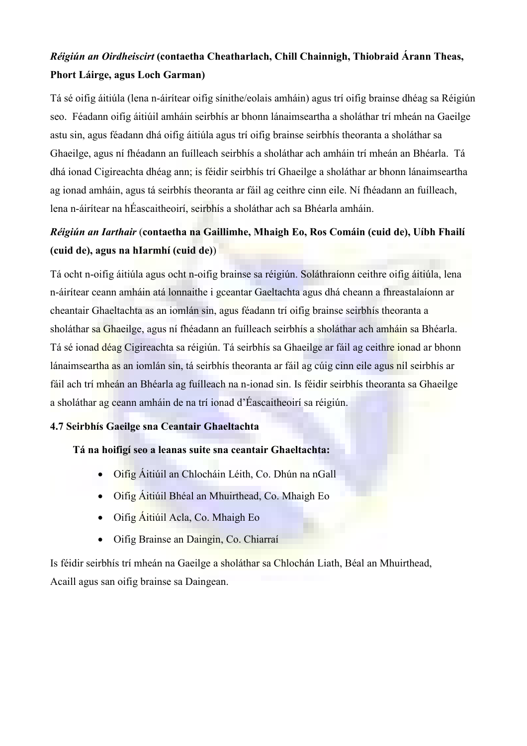# Réigiún an Oirdheiscirt (contaetha Cheatharlach, Chill Chainnigh, Thiobraid Árann Theas, Phort Láirge, agus Loch Garman)

Tá sé oifig áitiúla (lena n-áirítear oifig sínithe/eolais amháin) agus trí oifig brainse dhéag sa Réigiún seo. Féadann oifig áitiúil amháin seirbhís ar bhonn lánaimseartha a sholáthar trí mheán na Gaeilge astu sin, agus féadann dhá oifig áitiúla agus trí oifig brainse seirbhís theoranta a sholáthar sa Ghaeilge, agus ní fhéadann an fuílleach seirbhís a sholáthar ach amháin trí mheán an Bhéarla. Tá dhá ionad Cigireachta dhéag ann; is féidir seirbhís trí Ghaeilge a sholáthar ar bhonn lánaimseartha ag ionad amháin, agus tá seirbhís theoranta ar fáil ag ceithre cinn eile. Ní fhéadann an fuílleach, lena n-áirítear na hÉascaitheoirí, seirbhís a sholáthar ach sa Bhéarla amháin.

# Réigiún an Iarthair (contaetha na Gaillimhe, Mhaigh Eo, Ros Comáin (cuid de), Uíbh Fhailí (cuid de), agus na hIarmhí (cuid de))

Tá ocht n-oifig áitiúla agus ocht n-oifig brainse sa réigiún. Soláthraíonn ceithre oifig áitiúla, lena n-áirítear ceann amháin atá lonnaithe i gceantar Gaeltachta agus dhá cheann a fhreastalaíonn ar cheantair Ghaeltachta as an iomlán sin, agus féadann trí oifig brainse seirbhís theoranta a sholáthar sa Ghaeilge, agus ní fhéadann an fuílleach seirbhís a sholáthar ach amháin sa Bhéarla. Tá sé ionad déag Cigireachta sa réigiún. Tá seirbhís sa Ghaeilge ar fáil ag ceithre ionad ar bhonn lánaimseartha as an iomlán sin, tá seirbhís theoranta ar fáil ag cúig cinn eile agus níl seirbhís ar fáil ach trí mheán an Bhéarla ag fuílleach na n-ionad sin. Is féidir seirbhís theoranta sa Ghaeilge a sholáthar ag ceann amháin de na trí ionad d'Éascaitheoirí sa réigiún.

#### 4.7 Seirbhís Gaeilge sna Ceantair Ghaeltachta

#### Tá na hoifigí seo a leanas suite sna ceantair Ghaeltachta:

- Oifig Áitiúil an Chlocháin Léith, Co. Dhún na nGall
- Oifig Áitiúil Bhéal an Mhuirthead, Co. Mhaigh Eo
- Oifig Áitiúil Acla, Co. Mhaigh Eo
- Oifig Brainse an Daingin, Co. Chiarraí

Is féidir seirbhís trí mheán na Gaeilge a sholáthar sa Chlochán Liath, Béal an Mhuirthead, Acaill agus san oifig brainse sa Daingean.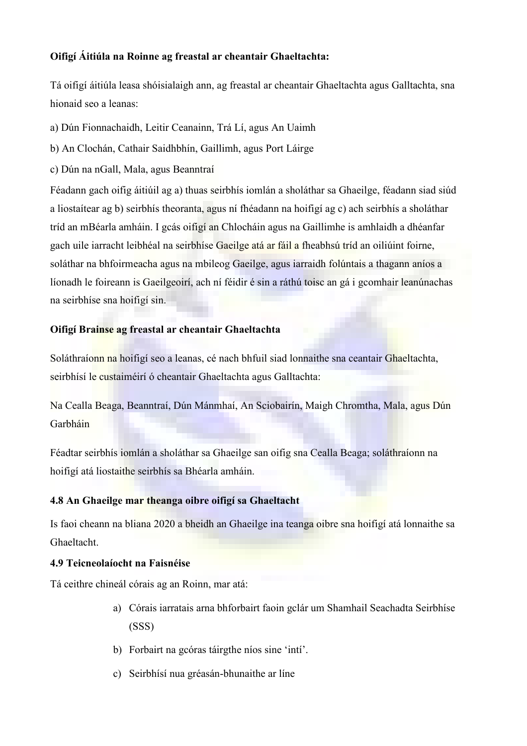#### Oifigí Áitiúla na Roinne ag freastal ar cheantair Ghaeltachta:

Tá oifigí áitiúla leasa shóisialaigh ann, ag freastal ar cheantair Ghaeltachta agus Galltachta, sna hionaid seo a leanas:

- a) Dún Fionnachaidh, Leitir Ceanainn, Trá Lí, agus An Uaimh
- b) An Clochán, Cathair Saidhbhín, Gaillimh, agus Port Láirge
- c) Dún na nGall, Mala, agus Beanntraí

Féadann gach oifig áitiúil ag a) thuas seirbhís iomlán a sholáthar sa Ghaeilge, féadann siad siúd a liostaítear ag b) seirbhís theoranta, agus ní fhéadann na hoifigí ag c) ach seirbhís a sholáthar tríd an mBéarla amháin. I gcás oifigí an Chlocháin agus na Gaillimhe is amhlaidh a dhéanfar gach uile iarracht leibhéal na seirbhíse Gaeilge atá ar fáil a fheabhsú tríd an oiliúint foirne, soláthar na bhfoirmeacha agus na mbileog Gaeilge, agus iarraidh folúntais a thagann aníos a líonadh le foireann is Gaeilgeoirí, ach ní féidir é sin a ráthú toisc an gá i gcomhair leanúnachas na seirbhíse sna hoifigí sin.

### Oifigí Brainse ag freastal ar cheantair Ghaeltachta

Soláthraíonn na hoifigí seo a leanas, cé nach bhfuil siad lonnaithe sna ceantair Ghaeltachta, seirbhísí le custaiméirí ó cheantair Ghaeltachta agus Galltachta:

Na Cealla Beaga, Beanntraí, Dún Mánmhaí, An Sciobairín, Maigh Chromtha, Mala, agus Dún Garbháin

Féadtar seirbhís iomlán a sholáthar sa Ghaeilge san oifig sna Cealla Beaga; soláthraíonn na hoifigí atá liostaithe seirbhís sa Bhéarla amháin.

#### 4.8 An Ghaeilge mar theanga oibre oifigí sa Ghaeltacht

Is faoi cheann na bliana 2020 a bheidh an Ghaeilge ina teanga oibre sna hoifigí atá lonnaithe sa Ghaeltacht.

#### 4.9 Teicneolaíocht na Faisnéise

Tá ceithre chineál córais ag an Roinn, mar atá:

- a) Córais iarratais arna bhforbairt faoin gclár um Shamhail Seachadta Seirbhíse (SSS)
- b) Forbairt na gcóras táirgthe níos sine 'intí'.
- c) Seirbhísí nua gréasán-bhunaithe ar líne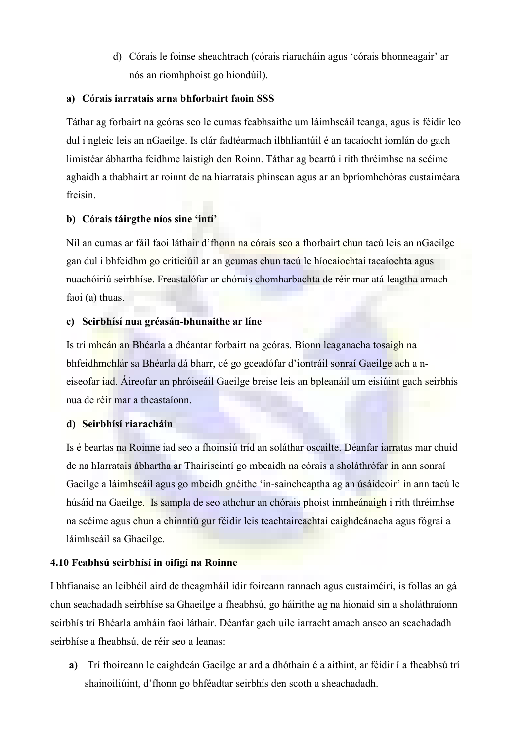d) Córais le foinse sheachtrach (córais riaracháin agus 'córais bhonneagair' ar nós an ríomhphoist go hiondúil).

#### a) Córais iarratais arna bhforbairt faoin SSS

Táthar ag forbairt na gcóras seo le cumas feabhsaithe um láimhseáil teanga, agus is féidir leo dul i ngleic leis an nGaeilge. Is clár fadtéarmach ilbhliantúil é an tacaíocht iomlán do gach limistéar ábhartha feidhme laistigh den Roinn. Táthar ag beartú i rith thréimhse na scéime aghaidh a thabhairt ar roinnt de na hiarratais phinsean agus ar an bpríomhchóras custaiméara freisin.

#### b) Córais táirgthe níos sine 'intí'

Níl an cumas ar fáil faoi láthair d'fhonn na córais seo a fhorbairt chun tacú leis an nGaeilge gan dul i bhfeidhm go criticiúil ar an gcumas chun tacú le híocaíochtaí tacaíochta agus nuachóiriú seirbhíse. Freastalófar ar chórais chomharbachta de réir mar atá leagtha amach faoi (a) thuas.

#### c) Seirbhísí nua gréasán-bhunaithe ar líne

Is trí mheán an Bhéarla a dhéantar forbairt na gcóras. Bíonn leaganacha tosaigh na bhfeidhmchlár sa Bhéarla dá bharr, cé go gceadófar d'iontráil sonraí Gaeilge ach a neiseofar iad. Áireofar an phróiseáil Gaeilge breise leis an bpleanáil um eisiúint gach seirbhís nua de réir mar a theastaíonn.

#### d) Seirbhísí riaracháin

Is é beartas na Roinne iad seo a fhoinsiú tríd an soláthar oscailte. Déanfar iarratas mar chuid de na hIarratais ábhartha ar Thairiscintí go mbeaidh na córais a sholáthrófar in ann sonraí Gaeilge a láimhseáil agus go mbeidh gnéithe 'in-saincheaptha ag an úsáideoir' in ann tacú le húsáid na Gaeilge. Is sampla de seo athchur an chórais phoist inmheánaigh i rith thréimhse na scéime agus chun a chinntiú gur féidir leis teachtaireachtaí caighdeánacha agus fógraí a láimhseáil sa Ghaeilge.

#### 4.10 Feabhsú seirbhísí in oifigí na Roinne

I bhfianaise an leibhéil aird de theagmháil idir foireann rannach agus custaiméirí, is follas an gá chun seachadadh seirbhíse sa Ghaeilge a fheabhsú, go háirithe ag na hionaid sin a sholáthraíonn seirbhís trí Bhéarla amháin faoi láthair. Déanfar gach uile iarracht amach anseo an seachadadh seirbhíse a fheabhsú, de réir seo a leanas:

a) Trí fhoireann le caighdeán Gaeilge ar ard a dhóthain é a aithint, ar féidir í a fheabhsú trí shainoiliúint, d'fhonn go bhféadtar seirbhís den scoth a sheachadadh.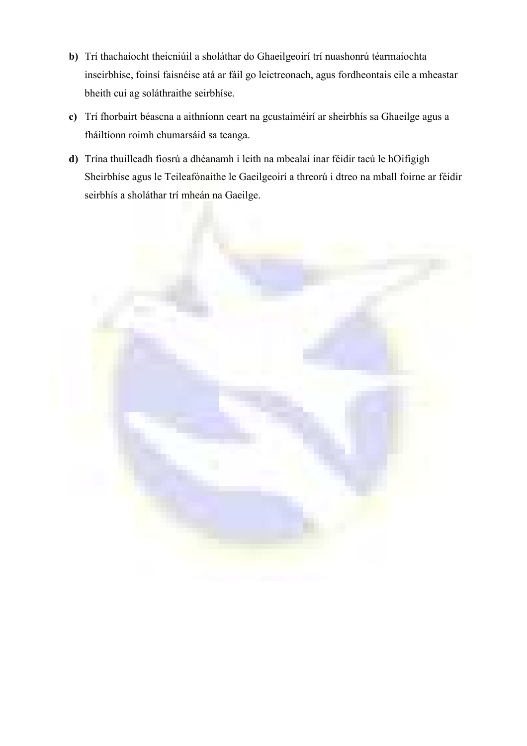- b) Trí thachaíocht theicniúil a sholáthar do Ghaeilgeoirí trí nuashonrú téarmaíochta inseirbhíse, foinsí faisnéise atá ar fáil go leictreonach, agus fordheontais eile a mheastar bheith cuí ag soláthraithe seirbhíse.
- c) Trí fhorbairt béascna a aithníonn ceart na gcustaiméirí ar sheirbhís sa Ghaeilge agus a fháiltíonn roimh chumarsáid sa teanga.
- d) Trína thuilleadh fiosrú a dhéanamh i leith na mbealaí inar féidir tacú le hOifigigh Sheirbhíse agus le Teileafónaithe le Gaeilgeoirí a threorú i dtreo na mball foirne ar féidir seirbhís a sholáthar trí mheán na Gaeilge.

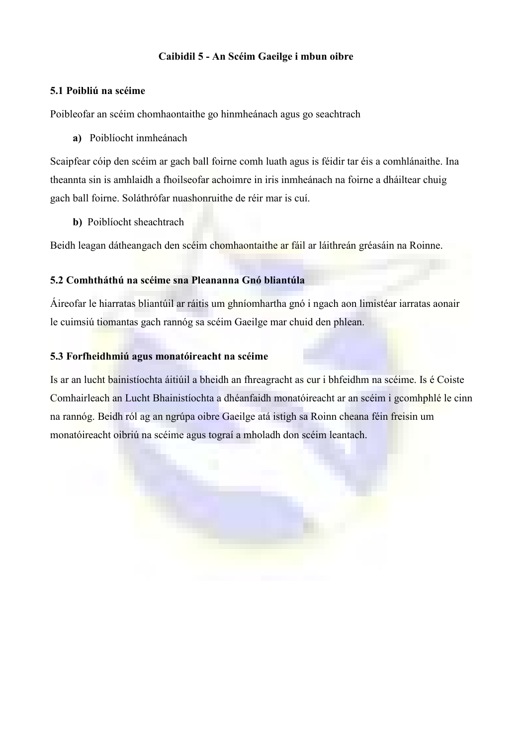#### Caibidil 5 - An Scéim Gaeilge i mbun oibre

#### 5.1 Poibliú na scéime

Poibleofar an scéim chomhaontaithe go hinmheánach agus go seachtrach

a) Poiblíocht inmheánach

Scaipfear cóip den scéim ar gach ball foirne comh luath agus is féidir tar éis a comhlánaithe. Ina theannta sin is amhlaidh a fhoilseofar achoimre in iris inmheánach na foirne a dháiltear chuig gach ball foirne. Soláthrófar nuashonruithe de réir mar is cuí.

b) Poiblíocht sheachtrach

Beidh leagan dátheangach den scéim chomhaontaithe ar fáil ar láithreán gréasáin na Roinne.

#### 5.2 Comhtháthú na scéime sna Pleananna Gnó bliantúla

Áireofar le hiarratas bliantúil ar ráitis um ghníomhartha gnó i ngach aon limistéar iarratas aonair le cuimsiú tiomantas gach rannóg sa scéim Gaeilge mar chuid den phlean.

#### 5.3 Forfheidhmiú agus monatóireacht na scéime

Is ar an lucht bainistíochta áitiúil a bheidh an fhreagracht as cur i bhfeidhm na scéime. Is é Coiste Comhairleach an Lucht Bhainistíochta a dhéanfaidh monatóireacht ar an scéim i gcomhphlé le cinn na rannóg. Beidh ról ag an ngrúpa oibre Gaeilge atá istigh sa Roinn cheana féin freisin um monatóireacht oibriú na scéime agus tograí a mholadh don scéim leantach.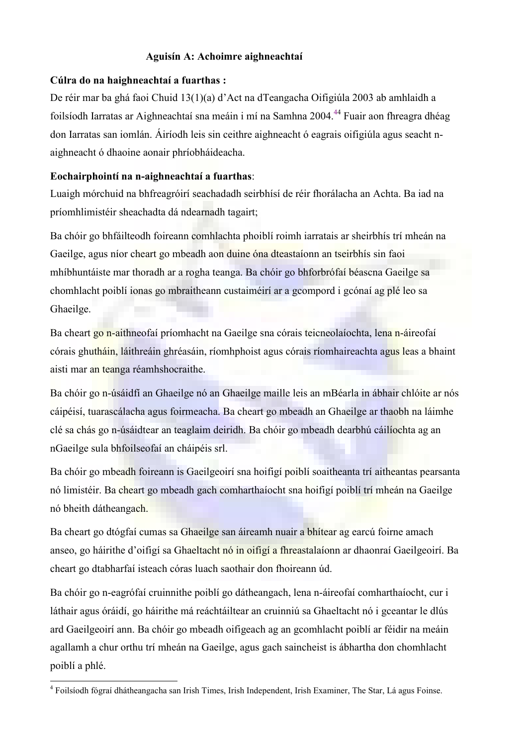#### Aguisín A: Achoimre aighneachtaí

#### Cúlra do na haighneachtaí a fuarthas :

De réir mar ba ghá faoi Chuid 13(1)(a) d'Act na dTeangacha Oifigiúla 2003 ab amhlaidh a foilsíodh Iarratas ar Aighneachtaí sna meáin i mí na Samhna 2004.<sup>44</sup> Fuair aon fhreagra dhéag don Iarratas san iomlán. Áiríodh leis sin ceithre aighneacht ó eagrais oifigiúla agus seacht naighneacht ó dhaoine aonair phríobháideacha.

#### Eochairphointí na n-aighneachtaí a fuarthas:

Luaigh mórchuid na bhfreagróirí seachadadh seirbhísí de réir fhorálacha an Achta. Ba iad na príomhlimistéir sheachadta dá ndearnadh tagairt;

Ba chóir go bhfáilteodh foireann comhlachta phoiblí roimh iarratais ar sheirbhís trí mheán na Gaeilge, agus níor cheart go mbeadh aon duine óna dteastaíonn an tseirbhís sin faoi mhíbhuntáiste mar thoradh ar a rogha teanga. Ba chóir go bhforbrófaí béascna Gaeilge sa chomhlacht poiblí ionas go mbraitheann custaiméirí ar a gcompord i gcónaí ag plé leo sa Ghaeilge.

Ba cheart go n-aithneofaí príomhacht na Gaeilge sna córais teicneolaíochta, lena n-áireofaí córais ghutháin, láithreáin ghréasáin, ríomhphoist agus córais ríomhaireachta agus leas a bhaint aisti mar an teanga réamhshocraithe.

Ba chóir go n-úsáidfí an Ghaeilge nó an Ghaeilge maille leis an mBéarla in ábhair chlóite ar nós cáipéisí, tuarascálacha agus foirmeacha. Ba cheart go mbeadh an Ghaeilge ar thaobh na láimhe clé sa chás go n-úsáidtear an teaglaim deiridh. Ba chóir go mbeadh dearbhú cáilíochta ag an nGaeilge sula bhfoilseofaí an cháipéis srl.

Ba chóir go mbeadh foireann is Gaeilgeoirí sna hoifigí poiblí soaitheanta trí aitheantas pearsanta nó limistéir. Ba cheart go mbeadh gach comharthaíocht sna hoifigí poiblí trí mheán na Gaeilge nó bheith dátheangach.

Ba cheart go dtógfaí cumas sa Ghaeilge san áireamh nuair a bhítear ag earcú foirne amach anseo, go háirithe d'oifigí sa Ghaeltacht nó in oifigí a fhreastalaíonn ar dhaonraí Gaeilgeoirí. Ba cheart go dtabharfaí isteach córas luach saothair don fhoireann úd.

Ba chóir go n-eagrófaí cruinnithe poiblí go dátheangach, lena n-áireofaí comharthaíocht, cur i láthair agus óráidí, go háirithe má reáchtáiltear an cruinniú sa Ghaeltacht nó i gceantar le dlús ard Gaeilgeoirí ann. Ba chóir go mbeadh oifigeach ag an gcomhlacht poiblí ar féidir na meáin agallamh a chur orthu trí mheán na Gaeilge, agus gach saincheist is ábhartha don chomhlacht poiblí a phlé.

 4 Foilsíodh fógraí dhátheangacha san Irish Times, Irish Independent, Irish Examiner, The Star, Lá agus Foinse.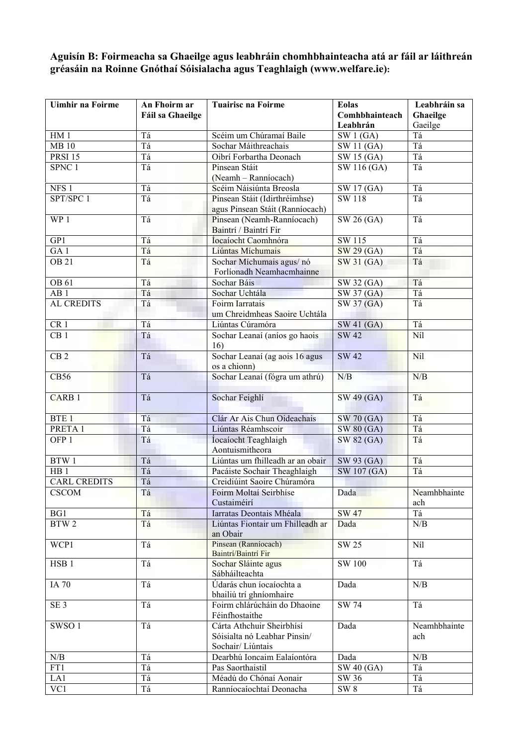#### Aguisín B: Foirmeacha sa Ghaeilge agus leabhráin chomhbhainteacha atá ar fáil ar láithreán gréasáin na Roinne Gnóthaí Sóisialacha agus Teaghlaigh (www.welfare.ie):

| Uimhir na Foirme    | An Fhoirm ar     | <b>Tuairisc na Foirme</b>                       | <b>Eolas</b>     | Leabhráin sa |
|---------------------|------------------|-------------------------------------------------|------------------|--------------|
|                     | Fáil sa Ghaeilge |                                                 | Comhbhainteach   | Ghaeilge     |
|                     |                  |                                                 | Leabhrán         | Gaeilge      |
| HM1                 | Tá               | Scéim um Chúramaí Baile                         | SW1(GA)          | Tá           |
| <b>MB10</b>         | Tá               | Sochar Máithreachais                            | SW 11 (GA)       | Tá           |
| <b>PRSI 15</b>      | Tá               | Oibrí Forbartha Deonach                         | SW 15 (GA)       | Tá           |
| SPNC 1              | Tá               | Pinsean Stáit                                   | SW 116 (GA)      | Tá           |
| NFS <sub>1</sub>    | Tá               | (Neamh - Ranníocach)<br>Scéim Náisiúnta Breosla | SW 17 (GA)       | Tá           |
| SPT/SPC 1           | Tá               | Pinsean Stáit (Idirthréimhse)                   | SW 118           | Tá           |
|                     |                  | agus Pinsean Stáit (Ranníocach)                 |                  |              |
| WP 1                | Tá               | Pinsean (Neamh-Ranníocach)                      | $SW 26$ (GA)     | Tá           |
|                     |                  | Baintrí / Baintrí Fir                           |                  |              |
| GP1                 | Tá               | Íocaíocht Caomhnóra                             | SW 115           | Tá           |
| $\overline{GA}$ 1   | Tá               | Liúntas Míchumais                               | SW 29 (GA)       | Tá           |
| <b>OB 21</b>        | Tá               | Sochar Míchumais agus/ nó                       | SW 31 (GA)       | Tá           |
|                     |                  | Forlíonadh Neamhacmhainne                       |                  |              |
| OB 61               | Tá               | Sochar Báis                                     | SW 32 (GA)       | Tá           |
| AB1                 | Tá               | Sochar Uchtála                                  | SW 37 (GA)       | Tá           |
| <b>AL CREDITS</b>   | Tá               | Foirm Iarratais                                 | SW 37 (GA)       | Tá           |
|                     |                  | um Chreidmheas Saoire Uchtála                   |                  |              |
| CR <sub>1</sub>     | Tá               | Liúntas Cúramóra                                | SW 41 (GA)       | Tá           |
| CB <sub>1</sub>     | Tá               | Sochar Leanaí (aníos go haois                   | <b>SW 42</b>     | Níl          |
|                     |                  | 16)                                             |                  |              |
| CB <sub>2</sub>     | Tá               | Sochar Leanaí (ag aois 16 agus                  | SW <sub>42</sub> | Níl          |
|                     |                  | os a chionn)                                    |                  |              |
| <b>CB56</b>         | Tá               | Sochar Leanaí (fógra um athrú)                  | N/B              | N/B          |
| CARB <sub>1</sub>   | Tá               |                                                 |                  | Tá           |
|                     |                  | Sochar Feighlí                                  | SW 49 (GA)       |              |
| BTE <sub>1</sub>    | Tá               | Clár Ar Ais Chun Oideachais                     | SW 70 (GA)       | Tá           |
| PRETA 1             | Tá               | Liúntas Réamhscoir                              | SW 80 (GA)       | Tá           |
| OFP <sub>1</sub>    | Tá               | Íocaíocht Teaghlaigh                            | SW 82 (GA)       | Tá           |
|                     |                  | Aontuismitheora                                 |                  |              |
| BTW 1               | Tá               | Liúntas um fhilleadh ar an obair                | SW 93 (GA)       | Tá           |
| HB <sub>1</sub>     | Tá               | Pacáiste Sochair Theaghlaigh                    | SW 107 (GA)      | Tá           |
| <b>CARL CREDITS</b> | Tá               | Creidiúint Saoire Chúramóra                     |                  |              |
| <b>CSCOM</b>        | Tá               | Foirm Moltaí Seirbhíse                          | Dada             | Neamhbhainte |
|                     |                  | Custaiméirí                                     |                  | ach          |
| BG1                 | Tá               | Iarratas Deontais Mhéala                        | <b>SW 47</b>     | Tá           |
| BTW <sub>2</sub>    | Tá               | Liúntas Fiontair um Fhilleadh ar                | Dada             | N/B          |
|                     |                  | an Obair                                        |                  |              |
| WCP1                | Tá               | Pinsean (Ranníocach)                            | <b>SW 25</b>     | Níl          |
|                     |                  | Baintrí/Baintrí Fir                             |                  |              |
| HSB <sub>1</sub>    | Tá               | Sochar Sláinte agus                             | <b>SW 100</b>    | Tá           |
| <b>IA 70</b>        | Tá               | Sábháilteachta<br>Údarás chun íocaíochta a      | Dada             | N/B          |
|                     |                  | bhailiú trí ghníomhaire                         |                  |              |
| SE <sub>3</sub>     | Tá               | Foirm chlárúcháin do Dhaoine                    | <b>SW 74</b>     | Tá           |
|                     |                  | Féinfhostaithe                                  |                  |              |
| SWSO <sub>1</sub>   | Tá               | Cárta Athchuir Sheirbhísí                       | Dada             | Neamhbhainte |
|                     |                  | Sóisialta nó Leabhar Pinsin/                    |                  | ach          |
|                     |                  | Sochair/Liúntais                                |                  |              |
| N/B                 | Tá               | Dearbhú Ioncaim Ealaíontóra                     | Dada             | N/B          |
| FT1                 | Tá               | Pas Saorthaistil                                | SW 40 (GA)       | Tá           |
| LA1                 | Tá               | Méadú do Chónaí Aonair                          | SW 36            | Tá           |
| VC1                 | Tá               | Ranníocaíochtaí Deonacha                        | SW <sub>8</sub>  | Tá           |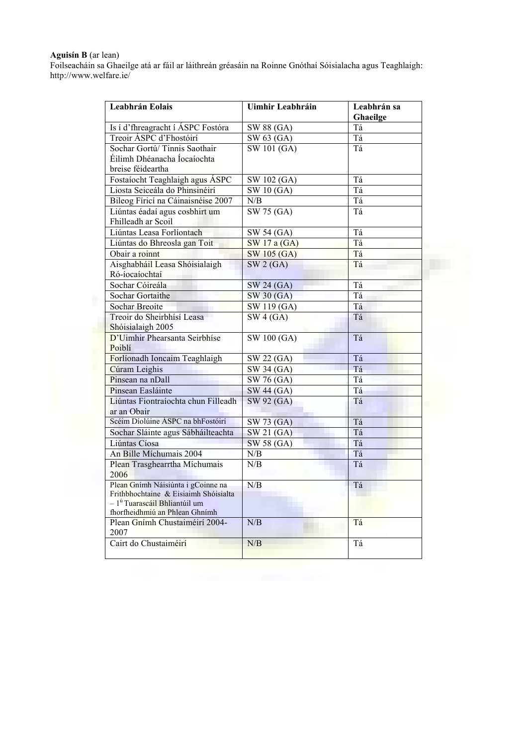#### Aguisín B (ar lean)

Foilseacháin sa Ghaeilge atá ar fáil ar láithreán gréasáin na Roinne Gnóthaí Sóisialacha agus Teaghlaigh: http://www.welfare.ie/

| Leabhrán Eolais                                                  | Uimhir Leabhráin                | Leabhrán sa<br>Ghaeilge |
|------------------------------------------------------------------|---------------------------------|-------------------------|
| Is í d'fhreagracht í ÁSPC Fostóra                                | SW 88 (GA)                      | Tá                      |
| Treoir ÁSPC d'Fhostóirí                                          | SW 63 (GA)                      | Tá                      |
| Sochar Gortú/Tinnis Saothair                                     | SW 101 (GA)                     | Tá                      |
| Éilimh Dhéanacha Íocaíochta                                      |                                 |                         |
| breise féideartha                                                |                                 |                         |
| Fostaíocht Teaghlaigh agus ÁSPC                                  | SW 102 (GA)                     | Tá                      |
| Liosta Seiceála do Phinsinéirí                                   | SW10(GA)                        | Tá                      |
| Bileog Fíricí na Cáinaisnéise 2007                               | N/B                             | Tá                      |
| Liúntas éadaí agus cosbhirt um                                   | SW 75 (GA)                      | Tá                      |
| Fhilleadh ar Scoil                                               |                                 |                         |
| Liúntas Leasa Forlíontach                                        | SW 54 (GA)                      | Tá                      |
| Liúntas do Bhreosla gan Toit                                     | SW 17 a (GA)                    | Tá                      |
| Obair a roinnt                                                   | SW 105 (GA)                     | Tá                      |
| Aisghabháil Leasa Shóisialaigh                                   | SW2(GA)                         | Tá                      |
| Ró-íocaíochtaí                                                   |                                 |                         |
| Sochar Cóireála                                                  | SW 24 (GA)                      | Tá                      |
| <b>Sochar Gortaithe</b>                                          | SW 30 (GA)                      | Tá                      |
| <b>Sochar Breoite</b>                                            | $\overline{\text{SW 119}}$ (GA) | Tá                      |
| Treoir do Sheirbhísí Leasa                                       | SW4(GA)                         | Tá                      |
| Shóisialaigh 2005                                                |                                 |                         |
| D'Uimhir Phearsanta Seirbhíse                                    | <b>SW 100 (GA)</b>              | Tá                      |
| Poiblí                                                           |                                 |                         |
| Forlíonadh Ioncaim Teaghlaigh                                    | SW 22 (GA)                      | Tá                      |
| Cúram Leighis                                                    | SW 34 (GA)                      | Tá                      |
| Pinsean na nDall                                                 | $\overline{\text{SW 76}}$ (GA)  | Tá                      |
| Pinsean Easláinte                                                | SW 44 (GA)                      | Tá                      |
| Liúntas Fiontraíochta chun Filleadh                              | SW 92 (GA)                      | Tá                      |
| ar an Obair                                                      |                                 |                         |
| Scéim Díolúine ÁSPC na bhFostóirí                                | SW 73 (GA)                      | Tá                      |
| Sochar Sláinte agus Sábháilteachta                               | SW 21 (GA)                      | Tá                      |
| Liúntas Cíosa                                                    | SW 58 (GA)                      | Tá                      |
| An Bille Míchumais 2004                                          | N/B                             | Tá                      |
| Plean Trasghearrtha Míchumais                                    | N/B                             | Tá                      |
| 2006                                                             |                                 |                         |
| Plean Gnímh Náisiúnta i gCoinne na                               | N/B                             | Tá                      |
| Frithbhochtaine & Eisiaimh Shóisialta                            |                                 |                         |
| - 1 <sup>ú</sup> Tuarascáil Bhliantúil um                        |                                 |                         |
| fhorfheidhmiú an Phlean Ghnímh<br>Plean Gnímh Chustaiméirí 2004- | N/B                             | Tá                      |
| 2007                                                             |                                 |                         |
| Cairt do Chustaiméirí                                            | N/B                             | Tá                      |
|                                                                  |                                 |                         |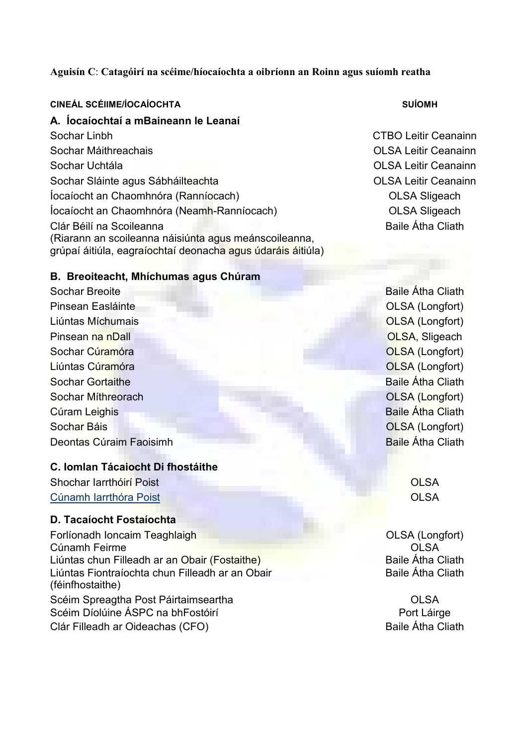#### Aguisín C: Catagóirí na scéime/híocaíochta a oibríonn an Roinn agus suíomh reatha

#### CINEÁL SCÉIIME/ÍOCAÍOCHTA SUÍOMH SUÍOMH SUÍOMH SUÍOMH SUÍOMH SUÍOMH SUÍOMH SUÍOMH SUÍOMH SUÍOMH SUÍOMH SUÍOMH

# A. Íocaíochtaí a mBaineann le Leanaí

Sochar Linbh CTBO Leitir Ceanainn Sochar Máithreachais OLSA Leitir Ceanainn Sochar Uchtála OLSA Leitir Ceanainn Sochar Sláinte agus Sábháilteachta **International Státachta** OLSA Leitir Ceanainn Íocaíocht an Chaomhnóra (Ranníocach) OLSA Sligeach Íocaíocht an Chaomhnóra (Neamh-Ranníocach) OLSA Sligeach Clár Béilí na Scoileanna (Riarann an scoileanna náisiúnta agus meánscoileanna, grúpaí áitiúla, eagraíochtaí deonacha agus údaráis áitiúla)

Baile Átha Cliath

#### B. Breoiteacht, Mhíchumas agus Chúram

Sochar Breoite **Baile Átha Cliath** Pinsean Easláinte OLSA (Longfort) Liúntas Míchumais OLSA (Longfort) Pinsean na nDall **OLSA, Sligeach** Sochar Cúramóra **OLSA** (Longfort) Liúntas Cúramóra **Cúramóra** De Casa de Casa de Casa de Casa de Casa de Casa de Casa de Casa de Casa de Casa de C Sochar Gortaithe **Baile Átha Cliath** Sochar Míthreorach OLSA (Longfort) Cúram Leighis **Baile Átha Cliath** Sochar Báis OLSA (Longfort) Deontas Cúraim Faoisimh **Baile Átha Cliath** 

#### C. Iomlan Tácaiocht Di fhostáithe

Shochar Iarrthóirí Poist **OLSA** [Cúnamh Iarrthóra Poist](http://www.welfare.ie/publications/sw4/s8.html#8.4) **Cúnamh Iarrthóra Poist Cúnamh Iarrthóra** Poist Cúnamh Iarrthóra Poist Cúnamh Iarrthóra Poist

#### D. Tacaíocht Fostaíochta

Forlíonadh Ioncaim Teaghlaigh **Camada an t-aghlaigh Camada an t-aghlaigh** OLSA (Longfort) Cúnamh Feirme **OLSA** Liúntas chun Filleadh ar an Obair (Fostaithe) **Baile Átha Cliath** Liúntas Fiontraíochta chun Filleadh ar an Obair (féinfhostaithe) Scéim Spreagtha Post Páirtaimseartha is ceann an t-ochtain Dinastian Colsa ann an Dinastian Colsa<br>
Scéim Díolúine ÁSPC na bhFostóirí Scéim Díolúine ÁSPC na bhFostóirí Clár Filleadh ar Oideachas (CFO) **Baile Átha Cliath** 

Baile Átha Cliath